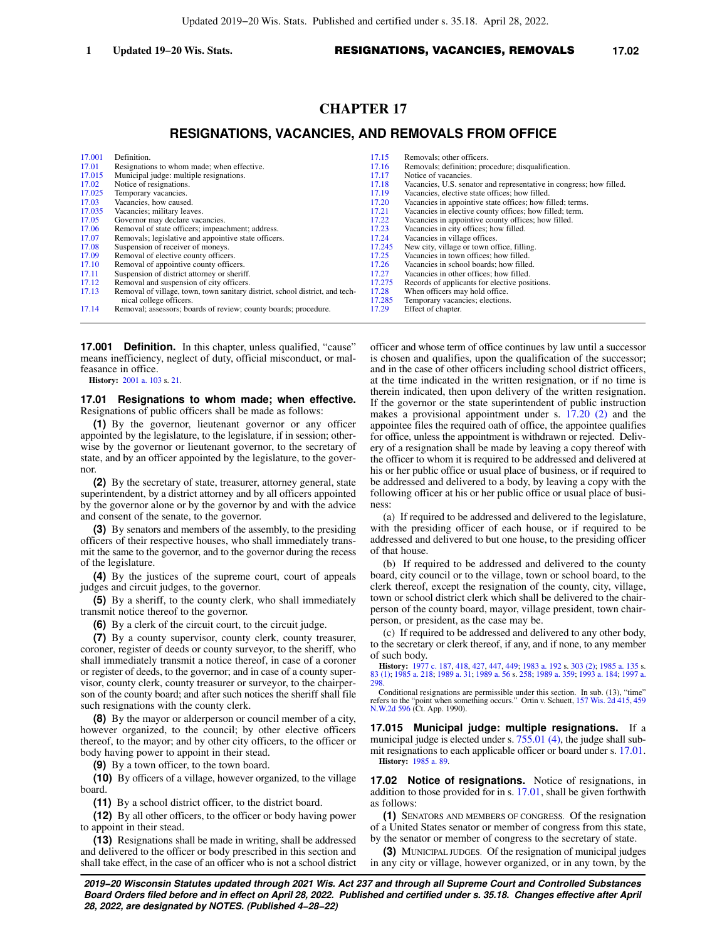# **CHAPTER 17**

## **RESIGNATIONS, VACANCIES, AND REMOVALS FROM OFFICE**

| 17.001 | Definition.                                                                  | 17.15  | Removals; other officers.                                           |
|--------|------------------------------------------------------------------------------|--------|---------------------------------------------------------------------|
| 17.01  | Resignations to whom made; when effective.                                   | 17.16  | Removals; definition; procedure; disqualification.                  |
| 17.015 | Municipal judge: multiple resignations.                                      | 17.17  | Notice of vacancies.                                                |
| 17.02  | Notice of resignations.                                                      | 17.18  | Vacancies, U.S. senator and representative in congress; how filled. |
| 17.025 | Temporary vacancies.                                                         | 17.19  | Vacancies, elective state offices; how filled.                      |
| 17.03  | Vacancies, how caused.                                                       | 17.20  | Vacancies in appointive state offices; how filled; terms.           |
| 17.035 | Vacancies; military leaves.                                                  | 17.21  | Vacancies in elective county offices; how filled; term.             |
| 17.05  | Governor may declare vacancies.                                              | 17.22  | Vacancies in appointive county offices; how filled.                 |
| 17.06  | Removal of state officers; impeachment; address.                             | 17.23  | Vacancies in city offices; how filled.                              |
| 17.07  | Removals; legislative and appointive state officers.                         | 17.24  | Vacancies in village offices.                                       |
| 17.08  | Suspension of receiver of moneys.                                            | 17.245 | New city, village or town office, filling.                          |
| 17.09  | Removal of elective county officers.                                         | 17.25  | Vacancies in town offices; how filled.                              |
| 17.10  | Removal of appointive county officers.                                       | 17.26  | Vacancies in school boards; how filled.                             |
| 17.11  | Suspension of district attorney or sheriff.                                  | 17.27  | Vacancies in other offices; how filled.                             |
| 17.12  | Removal and suspension of city officers.                                     | 17.275 | Records of applicants for elective positions.                       |
| 17.13  | Removal of village, town, town sanitary district, school district, and tech- | 17.28  | When officers may hold office.                                      |
|        | nical college officers.                                                      | 17.285 | Temporary vacancies; elections.                                     |
| 17.14  | Removal; assessors; boards of review; county boards; procedure.              | 17.29  | Effect of chapter.                                                  |

**17.001 Definition.** In this chapter, unless qualified, "cause" means inefficiency, neglect of duty, official misconduct, or malfeasance in office.

**History:** [2001 a. 103](https://docs-preview.legis.wisconsin.gov/document/acts/2001/103) s. [21](https://docs-preview.legis.wisconsin.gov/document/acts/2001/103,%20s.%2021).

#### **17.01 Resignations to whom made; when effective.** Resignations of public officers shall be made as follows:

**(1)** By the governor, lieutenant governor or any officer appointed by the legislature, to the legislature, if in session; otherwise by the governor or lieutenant governor, to the secretary of state, and by an officer appointed by the legislature, to the governor.

**(2)** By the secretary of state, treasurer, attorney general, state superintendent, by a district attorney and by all officers appointed by the governor alone or by the governor by and with the advice and consent of the senate, to the governor.

**(3)** By senators and members of the assembly, to the presiding officers of their respective houses, who shall immediately transmit the same to the governor, and to the governor during the recess of the legislature.

**(4)** By the justices of the supreme court, court of appeals judges and circuit judges, to the governor.

**(5)** By a sheriff, to the county clerk, who shall immediately transmit notice thereof to the governor.

**(6)** By a clerk of the circuit court, to the circuit judge.

**(7)** By a county supervisor, county clerk, county treasurer, coroner, register of deeds or county surveyor, to the sheriff, who shall immediately transmit a notice thereof, in case of a coroner or register of deeds, to the governor; and in case of a county supervisor, county clerk, county treasurer or surveyor, to the chairperson of the county board; and after such notices the sheriff shall file such resignations with the county clerk.

**(8)** By the mayor or alderperson or council member of a city, however organized, to the council; by other elective officers thereof, to the mayor; and by other city officers, to the officer or body having power to appoint in their stead.

**(9)** By a town officer, to the town board.

**(10)** By officers of a village, however organized, to the village board.

**(11)** By a school district officer, to the district board.

**(12)** By all other officers, to the officer or body having power to appoint in their stead.

**(13)** Resignations shall be made in writing, shall be addressed and delivered to the officer or body prescribed in this section and shall take effect, in the case of an officer who is not a school district officer and whose term of office continues by law until a successor is chosen and qualifies, upon the qualification of the successor; and in the case of other officers including school district officers, at the time indicated in the written resignation, or if no time is therein indicated, then upon delivery of the written resignation. If the governor or the state superintendent of public instruction makes a provisional appointment under s. [17.20 \(2\)](https://docs-preview.legis.wisconsin.gov/document/statutes/17.20(2)) and the appointee files the required oath of office, the appointee qualifies for office, unless the appointment is withdrawn or rejected. Delivery of a resignation shall be made by leaving a copy thereof with the officer to whom it is required to be addressed and delivered at his or her public office or usual place of business, or if required to be addressed and delivered to a body, by leaving a copy with the following officer at his or her public office or usual place of business:

(a) If required to be addressed and delivered to the legislature, with the presiding officer of each house, or if required to be addressed and delivered to but one house, to the presiding officer of that house.

(b) If required to be addressed and delivered to the county board, city council or to the village, town or school board, to the clerk thereof, except the resignation of the county, city, village, town or school district clerk which shall be delivered to the chairperson of the county board, mayor, village president, town chairperson, or president, as the case may be.

(c) If required to be addressed and delivered to any other body, to the secretary or clerk thereof, if any, and if none, to any member of such body.

**History:** [1977 c. 187](https://docs-preview.legis.wisconsin.gov/document/acts/1977/187), [418](https://docs-preview.legis.wisconsin.gov/document/acts/1977/418), [427](https://docs-preview.legis.wisconsin.gov/document/acts/1977/427), [447](https://docs-preview.legis.wisconsin.gov/document/acts/1977/447), [449](https://docs-preview.legis.wisconsin.gov/document/acts/1977/449); [1983 a. 192](https://docs-preview.legis.wisconsin.gov/document/acts/1983/192) s. [303 \(2\)](https://docs-preview.legis.wisconsin.gov/document/acts/1983/192,%20s.%20303); [1985 a. 135](https://docs-preview.legis.wisconsin.gov/document/acts/1985/135) s. [83 \(1\);](https://docs-preview.legis.wisconsin.gov/document/acts/1985/135,%20s.%2083) [1985 a. 218;](https://docs-preview.legis.wisconsin.gov/document/acts/1985/218) [1989 a. 31](https://docs-preview.legis.wisconsin.gov/document/acts/1989/31); [1989 a. 56](https://docs-preview.legis.wisconsin.gov/document/acts/1989/56) s. [258](https://docs-preview.legis.wisconsin.gov/document/acts/1989/56,%20s.%20258); [1989 a. 359](https://docs-preview.legis.wisconsin.gov/document/acts/1989/359); [1993 a. 184](https://docs-preview.legis.wisconsin.gov/document/acts/1993/184); [1997 a.](https://docs-preview.legis.wisconsin.gov/document/acts/1997/298) [298.](https://docs-preview.legis.wisconsin.gov/document/acts/1997/298)

Conditional resignations are permissible under this section. In sub. (13), "time" refers to the "point when something occurs." Ortin v. Schuett, [157 Wis. 2d 415,](https://docs-preview.legis.wisconsin.gov/document/courts/157%20Wis.%202d%20415) [459](https://docs-preview.legis.wisconsin.gov/document/courts/459%20N.W.2d%20596) [N.W.2d 596](https://docs-preview.legis.wisconsin.gov/document/courts/459%20N.W.2d%20596) (Ct. App. 1990).

**17.015 Municipal judge: multiple resignations.** If a municipal judge is elected under s. [755.01 \(4\)](https://docs-preview.legis.wisconsin.gov/document/statutes/755.01(4)), the judge shall submit resignations to each applicable officer or board under s. [17.01.](https://docs-preview.legis.wisconsin.gov/document/statutes/17.01) **History:** [1985 a. 89](https://docs-preview.legis.wisconsin.gov/document/acts/1985/89).

**17.02 Notice of resignations.** Notice of resignations, in addition to those provided for in s. [17.01,](https://docs-preview.legis.wisconsin.gov/document/statutes/17.01) shall be given forthwith as follows:

**(1)** SENATORS AND MEMBERS OF CONGRESS. Of the resignation of a United States senator or member of congress from this state, by the senator or member of congress to the secretary of state.

**(3)** MUNICIPAL JUDGES. Of the resignation of municipal judges in any city or village, however organized, or in any town, by the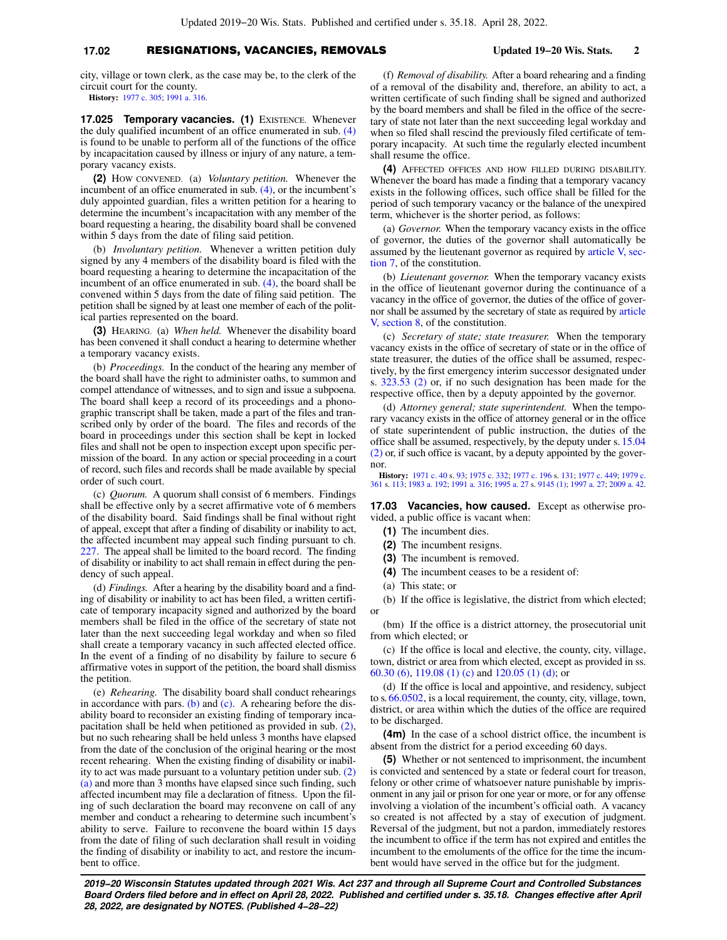### **17.02** RESIGNATIONS, VACANCIES, REMOVALS **Updated 19−20 Wis. Stats. 2**

city, village or town clerk, as the case may be, to the clerk of the circuit court for the county.

**History:** [1977 c. 305](https://docs-preview.legis.wisconsin.gov/document/acts/1977/305); [1991 a. 316](https://docs-preview.legis.wisconsin.gov/document/acts/1991/316).

**17.025 Temporary vacancies. (1)** EXISTENCE. Whenever the duly qualified incumbent of an office enumerated in sub. [\(4\)](https://docs-preview.legis.wisconsin.gov/document/statutes/17.025(4)) is found to be unable to perform all of the functions of the office by incapacitation caused by illness or injury of any nature, a temporary vacancy exists.

**(2)** HOW CONVENED. (a) *Voluntary petition.* Whenever the incumbent of an office enumerated in sub. [\(4\),](https://docs-preview.legis.wisconsin.gov/document/statutes/17.025(4)) or the incumbent's duly appointed guardian, files a written petition for a hearing to determine the incumbent's incapacitation with any member of the board requesting a hearing, the disability board shall be convened within 5 days from the date of filing said petition.

(b) *Involuntary petition.* Whenever a written petition duly signed by any 4 members of the disability board is filed with the board requesting a hearing to determine the incapacitation of the incumbent of an office enumerated in sub. [\(4\)](https://docs-preview.legis.wisconsin.gov/document/statutes/17.025(4)), the board shall be convened within 5 days from the date of filing said petition. The petition shall be signed by at least one member of each of the political parties represented on the board.

**(3)** HEARING. (a) *When held.* Whenever the disability board has been convened it shall conduct a hearing to determine whether a temporary vacancy exists.

(b) *Proceedings.* In the conduct of the hearing any member of the board shall have the right to administer oaths, to summon and compel attendance of witnesses, and to sign and issue a subpoena. The board shall keep a record of its proceedings and a phonographic transcript shall be taken, made a part of the files and transcribed only by order of the board. The files and records of the board in proceedings under this section shall be kept in locked files and shall not be open to inspection except upon specific permission of the board. In any action or special proceeding in a court of record, such files and records shall be made available by special order of such court.

(c) *Quorum.* A quorum shall consist of 6 members. Findings shall be effective only by a secret affirmative vote of 6 members of the disability board. Said findings shall be final without right of appeal, except that after a finding of disability or inability to act, the affected incumbent may appeal such finding pursuant to ch. [227](https://docs-preview.legis.wisconsin.gov/document/statutes/ch.%20227). The appeal shall be limited to the board record. The finding of disability or inability to act shall remain in effect during the pendency of such appeal.

(d) *Findings.* After a hearing by the disability board and a finding of disability or inability to act has been filed, a written certificate of temporary incapacity signed and authorized by the board members shall be filed in the office of the secretary of state not later than the next succeeding legal workday and when so filed shall create a temporary vacancy in such affected elected office. In the event of a finding of no disability by failure to secure 6 affirmative votes in support of the petition, the board shall dismiss the petition.

(e) *Rehearing.* The disability board shall conduct rehearings in accordance with pars. [\(b\)](https://docs-preview.legis.wisconsin.gov/document/statutes/17.025(3)(b)) and [\(c\).](https://docs-preview.legis.wisconsin.gov/document/statutes/17.025(3)(c)) A rehearing before the disability board to reconsider an existing finding of temporary incapacitation shall be held when petitioned as provided in sub. [\(2\),](https://docs-preview.legis.wisconsin.gov/document/statutes/17.025(2)) but no such rehearing shall be held unless 3 months have elapsed from the date of the conclusion of the original hearing or the most recent rehearing. When the existing finding of disability or inability to act was made pursuant to a voluntary petition under sub. [\(2\)](https://docs-preview.legis.wisconsin.gov/document/statutes/17.025(2)(a)) [\(a\)](https://docs-preview.legis.wisconsin.gov/document/statutes/17.025(2)(a)) and more than 3 months have elapsed since such finding, such affected incumbent may file a declaration of fitness. Upon the filing of such declaration the board may reconvene on call of any member and conduct a rehearing to determine such incumbent's ability to serve. Failure to reconvene the board within 15 days from the date of filing of such declaration shall result in voiding the finding of disability or inability to act, and restore the incumbent to office.

(f) *Removal of disability.* After a board rehearing and a finding of a removal of the disability and, therefore, an ability to act, a written certificate of such finding shall be signed and authorized by the board members and shall be filed in the office of the secretary of state not later than the next succeeding legal workday and when so filed shall rescind the previously filed certificate of temporary incapacity. At such time the regularly elected incumbent shall resume the office.

**(4)** AFFECTED OFFICES AND HOW FILLED DURING DISABILITY. Whenever the board has made a finding that a temporary vacancy exists in the following offices, such office shall be filled for the period of such temporary vacancy or the balance of the unexpired term, whichever is the shorter period, as follows:

(a) *Governor.* When the temporary vacancy exists in the office of governor, the duties of the governor shall automatically be assumed by the lieutenant governor as required by [article V, sec](https://docs-preview.legis.wisconsin.gov/document/wisconsinconstitution/V,7)[tion 7,](https://docs-preview.legis.wisconsin.gov/document/wisconsinconstitution/V,7) of the constitution.

(b) *Lieutenant governor.* When the temporary vacancy exists in the office of lieutenant governor during the continuance of a vacancy in the office of governor, the duties of the office of governor shall be assumed by the secretary of state as required by [article](https://docs-preview.legis.wisconsin.gov/document/wisconsinconstitution/V,8) [V, section 8](https://docs-preview.legis.wisconsin.gov/document/wisconsinconstitution/V,8), of the constitution.

(c) *Secretary of state; state treasurer.* When the temporary vacancy exists in the office of secretary of state or in the office of state treasurer, the duties of the office shall be assumed, respectively, by the first emergency interim successor designated under s. [323.53 \(2\)](https://docs-preview.legis.wisconsin.gov/document/statutes/323.53(2)) or, if no such designation has been made for the respective office, then by a deputy appointed by the governor.

(d) *Attorney general; state superintendent.* When the temporary vacancy exists in the office of attorney general or in the office of state superintendent of public instruction, the duties of the office shall be assumed, respectively, by the deputy under s. [15.04](https://docs-preview.legis.wisconsin.gov/document/statutes/15.04(2)) [\(2\)](https://docs-preview.legis.wisconsin.gov/document/statutes/15.04(2)) or, if such office is vacant, by a deputy appointed by the governor.

**History:** [1971 c. 40](https://docs-preview.legis.wisconsin.gov/document/acts/1971/40) s. [93;](https://docs-preview.legis.wisconsin.gov/document/acts/1971/40,%20s.%2093) [1975 c. 332](https://docs-preview.legis.wisconsin.gov/document/acts/1975/332); [1977 c. 196](https://docs-preview.legis.wisconsin.gov/document/acts/1977/196) s. [131](https://docs-preview.legis.wisconsin.gov/document/acts/1977/196,%20s.%20131); [1977 c. 449;](https://docs-preview.legis.wisconsin.gov/document/acts/1977/449) [1979 c.](https://docs-preview.legis.wisconsin.gov/document/acts/1979/361) [361](https://docs-preview.legis.wisconsin.gov/document/acts/1979/361) s. [113](https://docs-preview.legis.wisconsin.gov/document/acts/1979/361,%20s.%20113); [1983 a. 192;](https://docs-preview.legis.wisconsin.gov/document/acts/1983/192) [1991 a. 316;](https://docs-preview.legis.wisconsin.gov/document/acts/1991/316) [1995 a. 27](https://docs-preview.legis.wisconsin.gov/document/acts/1995/27) s. [9145 \(1\)](https://docs-preview.legis.wisconsin.gov/document/acts/1995/27,%20s.%209145); [1997 a. 27;](https://docs-preview.legis.wisconsin.gov/document/acts/1997/27) [2009 a. 42](https://docs-preview.legis.wisconsin.gov/document/acts/2009/42).

**17.03 Vacancies, how caused.** Except as otherwise provided, a public office is vacant when:

- **(1)** The incumbent dies.
- **(2)** The incumbent resigns.
- **(3)** The incumbent is removed.
- **(4)** The incumbent ceases to be a resident of:
- (a) This state; or

(b) If the office is legislative, the district from which elected; or

(bm) If the office is a district attorney, the prosecutorial unit from which elected; or

(c) If the office is local and elective, the county, city, village, town, district or area from which elected, except as provided in ss. [60.30 \(6\)](https://docs-preview.legis.wisconsin.gov/document/statutes/60.30(6)), [119.08 \(1\) \(c\)](https://docs-preview.legis.wisconsin.gov/document/statutes/119.08(1)(c)) and [120.05 \(1\) \(d\);](https://docs-preview.legis.wisconsin.gov/document/statutes/120.05(1)(d)) or

(d) If the office is local and appointive, and residency, subject to s. [66.0502,](https://docs-preview.legis.wisconsin.gov/document/statutes/66.0502) is a local requirement, the county, city, village, town, district, or area within which the duties of the office are required to be discharged.

**(4m)** In the case of a school district office, the incumbent is absent from the district for a period exceeding 60 days.

**(5)** Whether or not sentenced to imprisonment, the incumbent is convicted and sentenced by a state or federal court for treason, felony or other crime of whatsoever nature punishable by imprisonment in any jail or prison for one year or more, or for any offense involving a violation of the incumbent's official oath. A vacancy so created is not affected by a stay of execution of judgment. Reversal of the judgment, but not a pardon, immediately restores the incumbent to office if the term has not expired and entitles the incumbent to the emoluments of the office for the time the incumbent would have served in the office but for the judgment.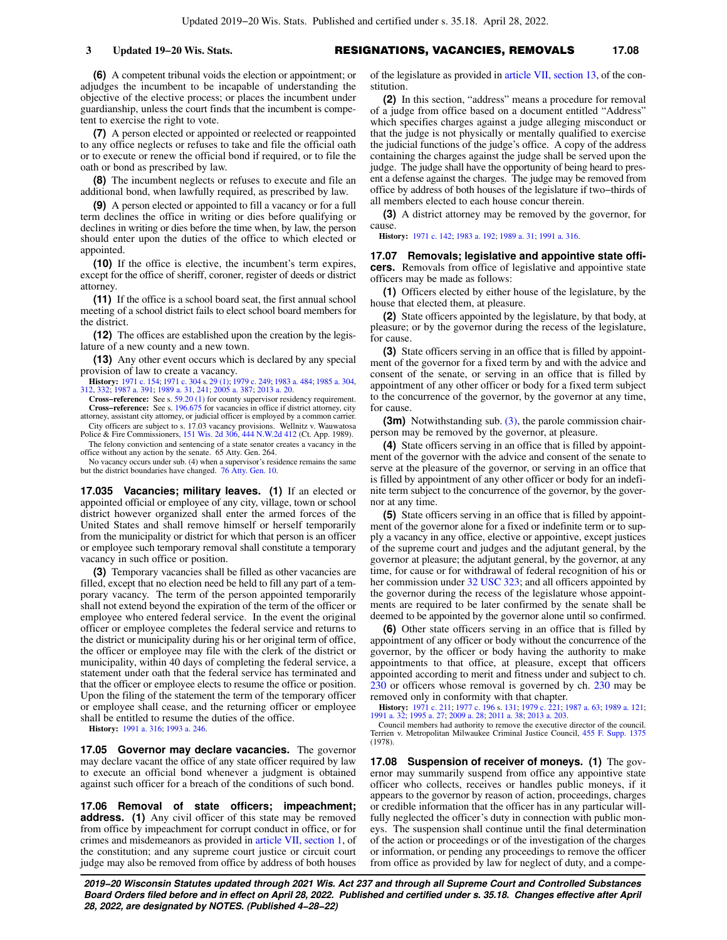#### **3 Updated 19−20 Wis. Stats.** RESIGNATIONS, VACANCIES, REMOVALS **17.08**

**(6)** A competent tribunal voids the election or appointment; or adjudges the incumbent to be incapable of understanding the objective of the elective process; or places the incumbent under guardianship, unless the court finds that the incumbent is competent to exercise the right to vote.

**(7)** A person elected or appointed or reelected or reappointed to any office neglects or refuses to take and file the official oath or to execute or renew the official bond if required, or to file the oath or bond as prescribed by law.

**(8)** The incumbent neglects or refuses to execute and file an additional bond, when lawfully required, as prescribed by law.

**(9)** A person elected or appointed to fill a vacancy or for a full term declines the office in writing or dies before qualifying or declines in writing or dies before the time when, by law, the person should enter upon the duties of the office to which elected or appointed.

**(10)** If the office is elective, the incumbent's term expires, except for the office of sheriff, coroner, register of deeds or district attorney.

**(11)** If the office is a school board seat, the first annual school meeting of a school district fails to elect school board members for the district.

**(12)** The offices are established upon the creation by the legislature of a new county and a new town.

**(13)** Any other event occurs which is declared by any special provision of law to create a vacancy.

**History:** [1971 c. 154](https://docs-preview.legis.wisconsin.gov/document/acts/1971/154); [1971 c. 304](https://docs-preview.legis.wisconsin.gov/document/acts/1971/304) s. [29 \(1\);](https://docs-preview.legis.wisconsin.gov/document/acts/1971/304,%20s.%2029) [1979 c. 249](https://docs-preview.legis.wisconsin.gov/document/acts/1979/249); [1983 a. 484](https://docs-preview.legis.wisconsin.gov/document/acts/1983/484); [1985 a. 304](https://docs-preview.legis.wisconsin.gov/document/acts/1985/304), [312](https://docs-preview.legis.wisconsin.gov/document/acts/1985/312), [332](https://docs-preview.legis.wisconsin.gov/document/acts/1985/332); [1987 a. 391](https://docs-preview.legis.wisconsin.gov/document/acts/1987/391); [1989 a. 31](https://docs-preview.legis.wisconsin.gov/document/acts/1989/31), [241](https://docs-preview.legis.wisconsin.gov/document/acts/1989/241); [2005 a. 387;](https://docs-preview.legis.wisconsin.gov/document/acts/2005/387) [2013 a. 20](https://docs-preview.legis.wisconsin.gov/document/acts/2013/20).

**Cross−reference:** See s. [59.20 \(1\)](https://docs-preview.legis.wisconsin.gov/document/statutes/59.20(1)) for county supervisor residency requirement. **Cross−reference:** See s. [196.675](https://docs-preview.legis.wisconsin.gov/document/statutes/196.675) for vacancies in office if district attorney, city attorney, assistant city attorney, or judicial officer is employed by a common carrier.

City officers are subject to s. 17.03 vacancy provisions. Wellnitz v. Wauwatosa Police & Fire Commissioners, [151 Wis. 2d 306](https://docs-preview.legis.wisconsin.gov/document/courts/151%20Wis.%202d%20306), [444 N.W.2d 412](https://docs-preview.legis.wisconsin.gov/document/courts/444%20N.W.2d%20412) (Ct. App. 1989). The felony conviction and sentencing of a state senator creates a vacancy in the

office without any action by the senate. 65 Atty. Gen. 264. No vacancy occurs under sub. (4) when a supervisor's residence remains the same but the district boundaries have changed. [76 Atty. Gen. 10.](https://docs-preview.legis.wisconsin.gov/document/oag/vol76-10)

**17.035 Vacancies; military leaves. (1)** If an elected or appointed official or employee of any city, village, town or school district however organized shall enter the armed forces of the United States and shall remove himself or herself temporarily from the municipality or district for which that person is an officer or employee such temporary removal shall constitute a temporary vacancy in such office or position.

**(3)** Temporary vacancies shall be filled as other vacancies are filled, except that no election need be held to fill any part of a temporary vacancy. The term of the person appointed temporarily shall not extend beyond the expiration of the term of the officer or employee who entered federal service. In the event the original officer or employee completes the federal service and returns to the district or municipality during his or her original term of office, the officer or employee may file with the clerk of the district or municipality, within 40 days of completing the federal service, a statement under oath that the federal service has terminated and that the officer or employee elects to resume the office or position. Upon the filing of the statement the term of the temporary officer or employee shall cease, and the returning officer or employee shall be entitled to resume the duties of the office.

**History:** [1991 a. 316](https://docs-preview.legis.wisconsin.gov/document/acts/1991/316); [1993 a. 246](https://docs-preview.legis.wisconsin.gov/document/acts/1993/246).

**17.05 Governor may declare vacancies.** The governor may declare vacant the office of any state officer required by law to execute an official bond whenever a judgment is obtained against such officer for a breach of the conditions of such bond.

**17.06 Removal of state officers; impeachment; address.** (1) Any civil officer of this state may be removed from office by impeachment for corrupt conduct in office, or for crimes and misdemeanors as provided in [article VII, section 1](https://docs-preview.legis.wisconsin.gov/document/wisconsinconstitution/VII,1), of the constitution; and any supreme court justice or circuit court judge may also be removed from office by address of both houses

of the legislature as provided in [article VII, section 13](https://docs-preview.legis.wisconsin.gov/document/wisconsinconstitution/VII,13), of the constitution.

**(2)** In this section, "address" means a procedure for removal of a judge from office based on a document entitled "Address" which specifies charges against a judge alleging misconduct or that the judge is not physically or mentally qualified to exercise the judicial functions of the judge's office. A copy of the address containing the charges against the judge shall be served upon the judge. The judge shall have the opportunity of being heard to present a defense against the charges. The judge may be removed from office by address of both houses of the legislature if two−thirds of all members elected to each house concur therein.

**(3)** A district attorney may be removed by the governor, for cause.

**History:** [1971 c. 142;](https://docs-preview.legis.wisconsin.gov/document/acts/1971/142) [1983 a. 192](https://docs-preview.legis.wisconsin.gov/document/acts/1983/192); [1989 a. 31](https://docs-preview.legis.wisconsin.gov/document/acts/1989/31); [1991 a. 316](https://docs-preview.legis.wisconsin.gov/document/acts/1991/316).

**17.07 Removals; legislative and appointive state officers.** Removals from office of legislative and appointive state officers may be made as follows:

**(1)** Officers elected by either house of the legislature, by the house that elected them, at pleasure.

**(2)** State officers appointed by the legislature, by that body, at pleasure; or by the governor during the recess of the legislature, for cause.

**(3)** State officers serving in an office that is filled by appointment of the governor for a fixed term by and with the advice and consent of the senate, or serving in an office that is filled by appointment of any other officer or body for a fixed term subject to the concurrence of the governor, by the governor at any time, for cause.

**(3m)** Notwithstanding sub. [\(3\),](https://docs-preview.legis.wisconsin.gov/document/statutes/17.07(3)) the parole commission chairperson may be removed by the governor, at pleasure.

**(4)** State officers serving in an office that is filled by appointment of the governor with the advice and consent of the senate to serve at the pleasure of the governor, or serving in an office that is filled by appointment of any other officer or body for an indefinite term subject to the concurrence of the governor, by the governor at any time.

**(5)** State officers serving in an office that is filled by appointment of the governor alone for a fixed or indefinite term or to supply a vacancy in any office, elective or appointive, except justices of the supreme court and judges and the adjutant general, by the governor at pleasure; the adjutant general, by the governor, at any time, for cause or for withdrawal of federal recognition of his or her commission under [32 USC 323;](https://docs-preview.legis.wisconsin.gov/document/usc/32%20USC%20323) and all officers appointed by the governor during the recess of the legislature whose appointments are required to be later confirmed by the senate shall be deemed to be appointed by the governor alone until so confirmed.

**(6)** Other state officers serving in an office that is filled by appointment of any officer or body without the concurrence of the governor, by the officer or body having the authority to make appointments to that office, at pleasure, except that officers appointed according to merit and fitness under and subject to ch. [230](https://docs-preview.legis.wisconsin.gov/document/statutes/ch.%20230) or officers whose removal is governed by ch. [230](https://docs-preview.legis.wisconsin.gov/document/statutes/ch.%20230) may be removed only in conformity with that chapter.

**History:** [1971 c. 211](https://docs-preview.legis.wisconsin.gov/document/acts/1971/211); [1977 c. 196](https://docs-preview.legis.wisconsin.gov/document/acts/1977/196) s. [131;](https://docs-preview.legis.wisconsin.gov/document/acts/1977/196,%20s.%20131) [1979 c. 221](https://docs-preview.legis.wisconsin.gov/document/acts/1979/221); [1987 a. 63;](https://docs-preview.legis.wisconsin.gov/document/acts/1987/63) [1989 a. 121](https://docs-preview.legis.wisconsin.gov/document/acts/1989/121); [1991 a. 32](https://docs-preview.legis.wisconsin.gov/document/acts/1991/32); [1995 a. 27;](https://docs-preview.legis.wisconsin.gov/document/acts/1995/27) [2009 a. 28;](https://docs-preview.legis.wisconsin.gov/document/acts/2009/28) [2011 a. 38;](https://docs-preview.legis.wisconsin.gov/document/acts/2011/38) [2013 a. 203](https://docs-preview.legis.wisconsin.gov/document/acts/2013/203).

Council members had authority to remove the executive director of the council. Terrien v. Metropolitan Milwaukee Criminal Justice Council, [455 F. Supp. 1375](https://docs-preview.legis.wisconsin.gov/document/courts/455%20F.%20Supp.%201375) (1978).

**17.08 Suspension of receiver of moneys. (1)** The governor may summarily suspend from office any appointive state officer who collects, receives or handles public moneys, if it appears to the governor by reason of action, proceedings, charges or credible information that the officer has in any particular willfully neglected the officer's duty in connection with public moneys. The suspension shall continue until the final determination of the action or proceedings or of the investigation of the charges or information, or pending any proceedings to remove the officer from office as provided by law for neglect of duty, and a compe-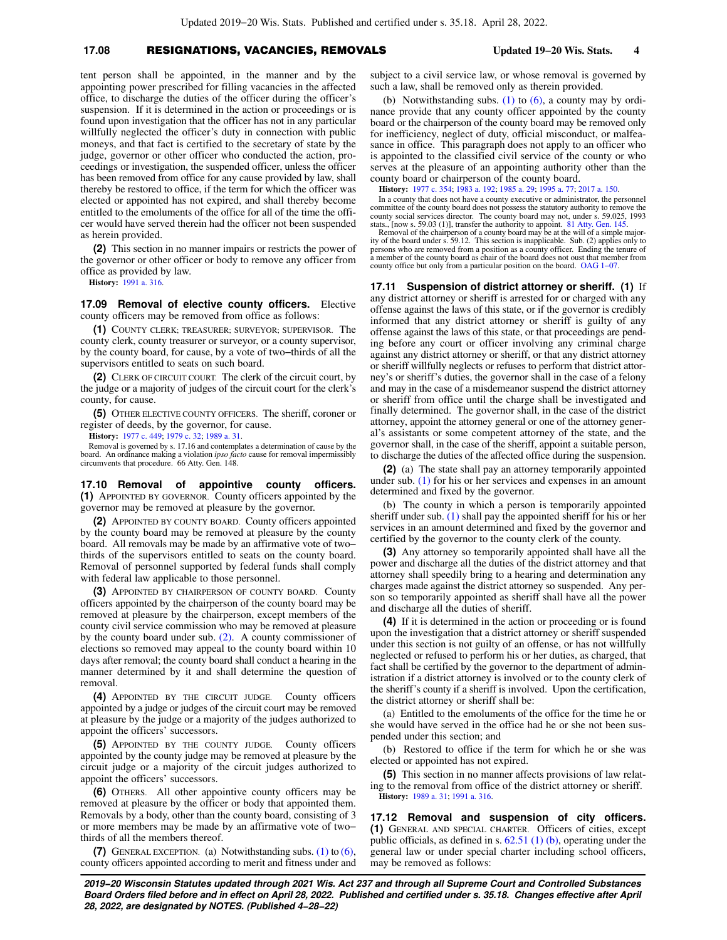#### **17.08** RESIGNATIONS, VACANCIES, REMOVALS **Updated 19−20 Wis. Stats. 4**

tent person shall be appointed, in the manner and by the appointing power prescribed for filling vacancies in the affected office, to discharge the duties of the officer during the officer's suspension. If it is determined in the action or proceedings or is found upon investigation that the officer has not in any particular willfully neglected the officer's duty in connection with public moneys, and that fact is certified to the secretary of state by the judge, governor or other officer who conducted the action, proceedings or investigation, the suspended officer, unless the officer has been removed from office for any cause provided by law, shall thereby be restored to office, if the term for which the officer was elected or appointed has not expired, and shall thereby become entitled to the emoluments of the office for all of the time the officer would have served therein had the officer not been suspended as herein provided.

**(2)** This section in no manner impairs or restricts the power of the governor or other officer or body to remove any officer from office as provided by law.

**History:** [1991 a. 316](https://docs-preview.legis.wisconsin.gov/document/acts/1991/316).

**17.09 Removal of elective county officers.** Elective county officers may be removed from office as follows:

**(1)** COUNTY CLERK; TREASURER; SURVEYOR; SUPERVISOR. The county clerk, county treasurer or surveyor, or a county supervisor, by the county board, for cause, by a vote of two−thirds of all the supervisors entitled to seats on such board.

**(2)** CLERK OF CIRCUIT COURT. The clerk of the circuit court, by the judge or a majority of judges of the circuit court for the clerk's county, for cause.

**(5)** OTHER ELECTIVE COUNTY OFFICERS. The sheriff, coroner or register of deeds, by the governor, for cause.

**History:** [1977 c. 449](https://docs-preview.legis.wisconsin.gov/document/acts/1977/449); [1979 c. 32;](https://docs-preview.legis.wisconsin.gov/document/acts/1979/32) [1989 a. 31.](https://docs-preview.legis.wisconsin.gov/document/acts/1989/31)

Removal is governed by s. 17.16 and contemplates a determination of cause by the board. An ordinance making a violation *ipso facto* cause for removal impermissibly circumvents that procedure. 66 Atty. Gen. 148.

**17.10 Removal of appointive county officers. (1)** APPOINTED BY GOVERNOR. County officers appointed by the governor may be removed at pleasure by the governor.

**(2)** APPOINTED BY COUNTY BOARD. County officers appointed by the county board may be removed at pleasure by the county board. All removals may be made by an affirmative vote of two− thirds of the supervisors entitled to seats on the county board. Removal of personnel supported by federal funds shall comply with federal law applicable to those personnel.

**(3)** APPOINTED BY CHAIRPERSON OF COUNTY BOARD. County officers appointed by the chairperson of the county board may be removed at pleasure by the chairperson, except members of the county civil service commission who may be removed at pleasure by the county board under sub. [\(2\)](https://docs-preview.legis.wisconsin.gov/document/statutes/17.10(2)). A county commissioner of elections so removed may appeal to the county board within 10 days after removal; the county board shall conduct a hearing in the manner determined by it and shall determine the question of removal.

**(4)** APPOINTED BY THE CIRCUIT JUDGE. County officers appointed by a judge or judges of the circuit court may be removed at pleasure by the judge or a majority of the judges authorized to appoint the officers' successors.

**(5)** APPOINTED BY THE COUNTY JUDGE. County officers appointed by the county judge may be removed at pleasure by the circuit judge or a majority of the circuit judges authorized to appoint the officers' successors.

**(6)** OTHERS. All other appointive county officers may be removed at pleasure by the officer or body that appointed them. Removals by a body, other than the county board, consisting of 3 or more members may be made by an affirmative vote of two− thirds of all the members thereof.

**(7)** GENERAL EXCEPTION. (a) Notwithstanding subs. [\(1\)](https://docs-preview.legis.wisconsin.gov/document/statutes/17.10(1)) to [\(6\),](https://docs-preview.legis.wisconsin.gov/document/statutes/17.10(6)) county officers appointed according to merit and fitness under and subject to a civil service law, or whose removal is governed by such a law, shall be removed only as therein provided.

(b) Notwithstanding subs. [\(1\)](https://docs-preview.legis.wisconsin.gov/document/statutes/17.10(1)) to  $(6)$ , a county may by ordinance provide that any county officer appointed by the county board or the chairperson of the county board may be removed only for inefficiency, neglect of duty, official misconduct, or malfeasance in office. This paragraph does not apply to an officer who is appointed to the classified civil service of the county or who serves at the pleasure of an appointing authority other than the county board or chairperson of the county board.

**History:** [1977 c. 354;](https://docs-preview.legis.wisconsin.gov/document/acts/1977/354) [1983 a. 192](https://docs-preview.legis.wisconsin.gov/document/acts/1983/192); [1985 a. 29](https://docs-preview.legis.wisconsin.gov/document/acts/1985/29); [1995 a. 77;](https://docs-preview.legis.wisconsin.gov/document/acts/1995/77) [2017 a. 150](https://docs-preview.legis.wisconsin.gov/document/acts/2017/150).

In a county that does not have a county executive or administrator, the personnel committee of the county board does not possess the statutory authority to remove the county social services director. The county board may not, under s. 59.025, 1993 stats., [now s. 59.03 (1)], transfer the authority to appoint. [81 Atty. Gen. 145.](https://docs-preview.legis.wisconsin.gov/document/oag/vol81-145) Removal of the chairperson of a county board may be at the will of a simple major-

ity of the board under s. 59.12. This section is inapplicable. Sub. (2) applies only to persons who are removed from a position as a county officer. Ending the tenure of a member of the county board as chair of the board does not oust that member from county office but only from a particular position on the board. [OAG 1−07](https://docs-preview.legis.wisconsin.gov/document/oag/oag1-07).

**17.11 Suspension of district attorney or sheriff. (1)** If any district attorney or sheriff is arrested for or charged with any offense against the laws of this state, or if the governor is credibly informed that any district attorney or sheriff is guilty of any offense against the laws of this state, or that proceedings are pending before any court or officer involving any criminal charge against any district attorney or sheriff, or that any district attorney or sheriff willfully neglects or refuses to perform that district attorney's or sheriff's duties, the governor shall in the case of a felony and may in the case of a misdemeanor suspend the district attorney or sheriff from office until the charge shall be investigated and finally determined. The governor shall, in the case of the district attorney, appoint the attorney general or one of the attorney general's assistants or some competent attorney of the state, and the governor shall, in the case of the sheriff, appoint a suitable person, to discharge the duties of the affected office during the suspension.

**(2)** (a) The state shall pay an attorney temporarily appointed under sub. [\(1\)](https://docs-preview.legis.wisconsin.gov/document/statutes/17.11(1)) for his or her services and expenses in an amount determined and fixed by the governor.

(b) The county in which a person is temporarily appointed sheriff under sub. [\(1\)](https://docs-preview.legis.wisconsin.gov/document/statutes/17.11(1)) shall pay the appointed sheriff for his or her services in an amount determined and fixed by the governor and certified by the governor to the county clerk of the county.

**(3)** Any attorney so temporarily appointed shall have all the power and discharge all the duties of the district attorney and that attorney shall speedily bring to a hearing and determination any charges made against the district attorney so suspended. Any person so temporarily appointed as sheriff shall have all the power and discharge all the duties of sheriff.

**(4)** If it is determined in the action or proceeding or is found upon the investigation that a district attorney or sheriff suspended under this section is not guilty of an offense, or has not willfully neglected or refused to perform his or her duties, as charged, that fact shall be certified by the governor to the department of administration if a district attorney is involved or to the county clerk of the sheriff's county if a sheriff is involved. Upon the certification, the district attorney or sheriff shall be:

(a) Entitled to the emoluments of the office for the time he or she would have served in the office had he or she not been suspended under this section; and

(b) Restored to office if the term for which he or she was elected or appointed has not expired.

**(5)** This section in no manner affects provisions of law relating to the removal from office of the district attorney or sheriff. **History:** [1989 a. 31](https://docs-preview.legis.wisconsin.gov/document/acts/1989/31); [1991 a. 316.](https://docs-preview.legis.wisconsin.gov/document/acts/1991/316)

**17.12 Removal and suspension of city officers. (1)** GENERAL AND SPECIAL CHARTER. Officers of cities, except public officials, as defined in s. [62.51 \(1\) \(b\)](https://docs-preview.legis.wisconsin.gov/document/statutes/62.51(1)(b)), operating under the general law or under special charter including school officers, may be removed as follows: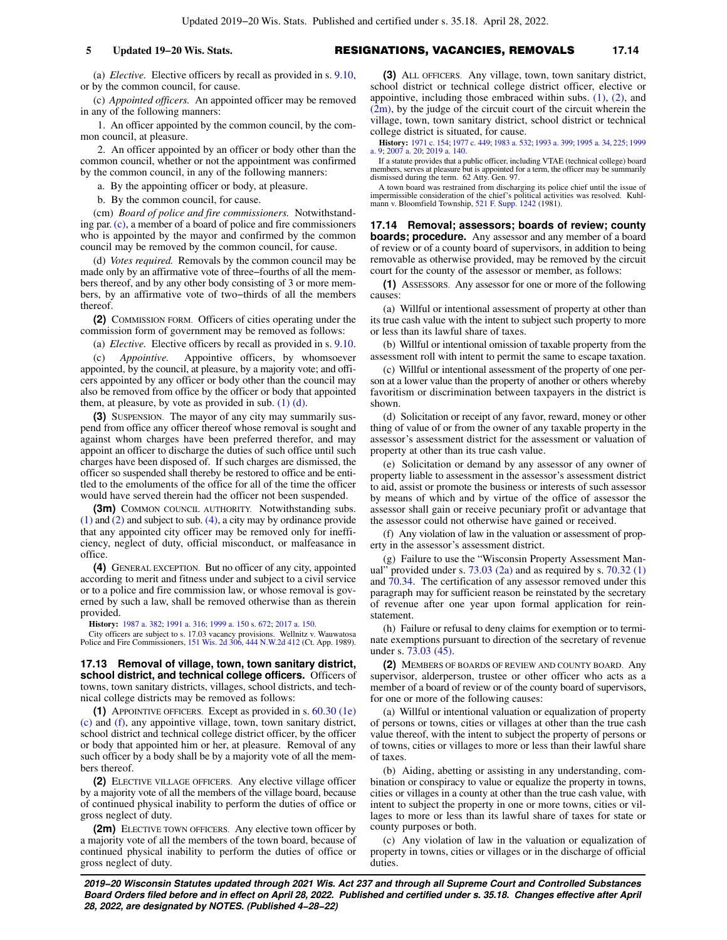#### **5 Updated 19−20 Wis. Stats.** RESIGNATIONS, VACANCIES, REMOVALS **17.14**

(a) *Elective.* Elective officers by recall as provided in s. [9.10,](https://docs-preview.legis.wisconsin.gov/document/statutes/9.10) or by the common council, for cause.

(c) *Appointed officers.* An appointed officer may be removed in any of the following manners:

1. An officer appointed by the common council, by the common council, at pleasure.

2. An officer appointed by an officer or body other than the common council, whether or not the appointment was confirmed by the common council, in any of the following manners:

a. By the appointing officer or body, at pleasure.

b. By the common council, for cause.

(cm) *Board of police and fire commissioners.* Notwithstanding par. [\(c\),](https://docs-preview.legis.wisconsin.gov/document/statutes/17.12(1)(c)) a member of a board of police and fire commissioners who is appointed by the mayor and confirmed by the common council may be removed by the common council, for cause.

(d) *Votes required.* Removals by the common council may be made only by an affirmative vote of three−fourths of all the members thereof, and by any other body consisting of 3 or more members, by an affirmative vote of two−thirds of all the members thereof.

**(2)** COMMISSION FORM. Officers of cities operating under the commission form of government may be removed as follows:

(a) *Elective.* Elective officers by recall as provided in s. [9.10.](https://docs-preview.legis.wisconsin.gov/document/statutes/9.10)

(c) *Appointive.* Appointive officers, by whomsoever appointed, by the council, at pleasure, by a majority vote; and officers appointed by any officer or body other than the council may also be removed from office by the officer or body that appointed them, at pleasure, by vote as provided in sub.  $(1)$   $(d)$ .

**(3)** SUSPENSION. The mayor of any city may summarily suspend from office any officer thereof whose removal is sought and against whom charges have been preferred therefor, and may appoint an officer to discharge the duties of such office until such charges have been disposed of. If such charges are dismissed, the officer so suspended shall thereby be restored to office and be entitled to the emoluments of the office for all of the time the officer would have served therein had the officer not been suspended.

**(3m)** COMMON COUNCIL AUTHORITY. Notwithstanding subs. [\(1\)](https://docs-preview.legis.wisconsin.gov/document/statutes/17.12(1)) and [\(2\)](https://docs-preview.legis.wisconsin.gov/document/statutes/17.12(2)) and subject to sub. [\(4\)](https://docs-preview.legis.wisconsin.gov/document/statutes/17.12(4)), a city may by ordinance provide that any appointed city officer may be removed only for inefficiency, neglect of duty, official misconduct, or malfeasance in office.

**(4)** GENERAL EXCEPTION. But no officer of any city, appointed according to merit and fitness under and subject to a civil service or to a police and fire commission law, or whose removal is governed by such a law, shall be removed otherwise than as therein provided.

**History:** [1987 a. 382](https://docs-preview.legis.wisconsin.gov/document/acts/1987/382); [1991 a. 316](https://docs-preview.legis.wisconsin.gov/document/acts/1991/316); [1999 a. 150](https://docs-preview.legis.wisconsin.gov/document/acts/1999/150) s. [672](https://docs-preview.legis.wisconsin.gov/document/acts/1999/150,%20s.%20672); [2017 a. 150.](https://docs-preview.legis.wisconsin.gov/document/acts/2017/150)

City officers are subject to s. 17.03 vacancy provisions. Wellnitz v. Wauwatosa Police and Fire Commissioners, [151 Wis. 2d 306,](https://docs-preview.legis.wisconsin.gov/document/courts/151%20Wis.%202d%20306) [444 N.W.2d 412](https://docs-preview.legis.wisconsin.gov/document/courts/444%20N.W.2d%20412) (Ct. App. 1989).

**17.13 Removal of village, town, town sanitary district, school district, and technical college officers.** Officers of towns, town sanitary districts, villages, school districts, and technical college districts may be removed as follows:

**(1)** APPOINTIVE OFFICERS. Except as provided in s. [60.30 \(1e\)](https://docs-preview.legis.wisconsin.gov/document/statutes/60.30(1e)(c)) [\(c\)](https://docs-preview.legis.wisconsin.gov/document/statutes/60.30(1e)(c)) and [\(f\),](https://docs-preview.legis.wisconsin.gov/document/statutes/60.30(1e)(f)) any appointive village, town, town sanitary district, school district and technical college district officer, by the officer or body that appointed him or her, at pleasure. Removal of any such officer by a body shall be by a majority vote of all the members thereof.

**(2)** ELECTIVE VILLAGE OFFICERS. Any elective village officer by a majority vote of all the members of the village board, because of continued physical inability to perform the duties of office or gross neglect of duty.

**(2m)** ELECTIVE TOWN OFFICERS. Any elective town officer by a majority vote of all the members of the town board, because of continued physical inability to perform the duties of office or gross neglect of duty.

**(3)** ALL OFFICERS. Any village, town, town sanitary district, school district or technical college district officer, elective or appointive, including those embraced within subs.  $(1)$ ,  $(2)$ , and  $(2m)$ , by the judge of the circuit court of the circuit wherein the village, town, town sanitary district, school district or technical college district is situated, for cause.

**History:** [1971 c. 154](https://docs-preview.legis.wisconsin.gov/document/acts/1971/154); [1977 c. 449;](https://docs-preview.legis.wisconsin.gov/document/acts/1977/449) [1983 a. 532;](https://docs-preview.legis.wisconsin.gov/document/acts/1983/532) [1993 a. 399;](https://docs-preview.legis.wisconsin.gov/document/acts/1993/399) [1995 a. 34,](https://docs-preview.legis.wisconsin.gov/document/acts/1995/34) [225](https://docs-preview.legis.wisconsin.gov/document/acts/1995/225); [1999](https://docs-preview.legis.wisconsin.gov/document/acts/1999/9) [a. 9](https://docs-preview.legis.wisconsin.gov/document/acts/1999/9); [2007 a. 20](https://docs-preview.legis.wisconsin.gov/document/acts/2007/20); [2019 a. 140.](https://docs-preview.legis.wisconsin.gov/document/acts/2019/140)

If a statute provides that a public officer, including VTAE (technical college) board members, serves at pleasure but is appointed for a term, the officer may be summarily dismissed during the term. 62 Atty. Gen. 97.

A town board was restrained from discharging its police chief until the issue of impermissible consideration of the chief's political activities was resolved. Kuhl-<br>mann v. Bloomfield Township, [521 F. Supp. 1242](https://docs-preview.legis.wisconsin.gov/document/courts/521%20F.%20Supp.%201242) (1981).

**17.14 Removal; assessors; boards of review; county boards; procedure.** Any assessor and any member of a board of review or of a county board of supervisors, in addition to being removable as otherwise provided, may be removed by the circuit court for the county of the assessor or member, as follows:

**(1)** ASSESSORS. Any assessor for one or more of the following causes:

(a) Willful or intentional assessment of property at other than its true cash value with the intent to subject such property to more or less than its lawful share of taxes.

(b) Willful or intentional omission of taxable property from the assessment roll with intent to permit the same to escape taxation.

(c) Willful or intentional assessment of the property of one person at a lower value than the property of another or others whereby favoritism or discrimination between taxpayers in the district is shown.

(d) Solicitation or receipt of any favor, reward, money or other thing of value of or from the owner of any taxable property in the assessor's assessment district for the assessment or valuation of property at other than its true cash value.

(e) Solicitation or demand by any assessor of any owner of property liable to assessment in the assessor's assessment district to aid, assist or promote the business or interests of such assessor by means of which and by virtue of the office of assessor the assessor shall gain or receive pecuniary profit or advantage that the assessor could not otherwise have gained or received.

(f) Any violation of law in the valuation or assessment of property in the assessor's assessment district.

(g) Failure to use the "Wisconsin Property Assessment Man-<br>ual" provided under s.  $73.03(2a)$  and as required by s.  $70.32(1)$ ' provided under s.  $73.03$  (2a) and as required by s.  $70.32$  (1) and [70.34.](https://docs-preview.legis.wisconsin.gov/document/statutes/70.34) The certification of any assessor removed under this paragraph may for sufficient reason be reinstated by the secretary of revenue after one year upon formal application for reinstatement.

(h) Failure or refusal to deny claims for exemption or to terminate exemptions pursuant to direction of the secretary of revenue under s. [73.03 \(45\).](https://docs-preview.legis.wisconsin.gov/document/statutes/73.03(45))

**(2)** MEMBERS OF BOARDS OF REVIEW AND COUNTY BOARD. Any supervisor, alderperson, trustee or other officer who acts as a member of a board of review or of the county board of supervisors, for one or more of the following causes:

(a) Willful or intentional valuation or equalization of property of persons or towns, cities or villages at other than the true cash value thereof, with the intent to subject the property of persons or of towns, cities or villages to more or less than their lawful share of taxes.

(b) Aiding, abetting or assisting in any understanding, combination or conspiracy to value or equalize the property in towns, cities or villages in a county at other than the true cash value, with intent to subject the property in one or more towns, cities or villages to more or less than its lawful share of taxes for state or county purposes or both.

(c) Any violation of law in the valuation or equalization of property in towns, cities or villages or in the discharge of official duties.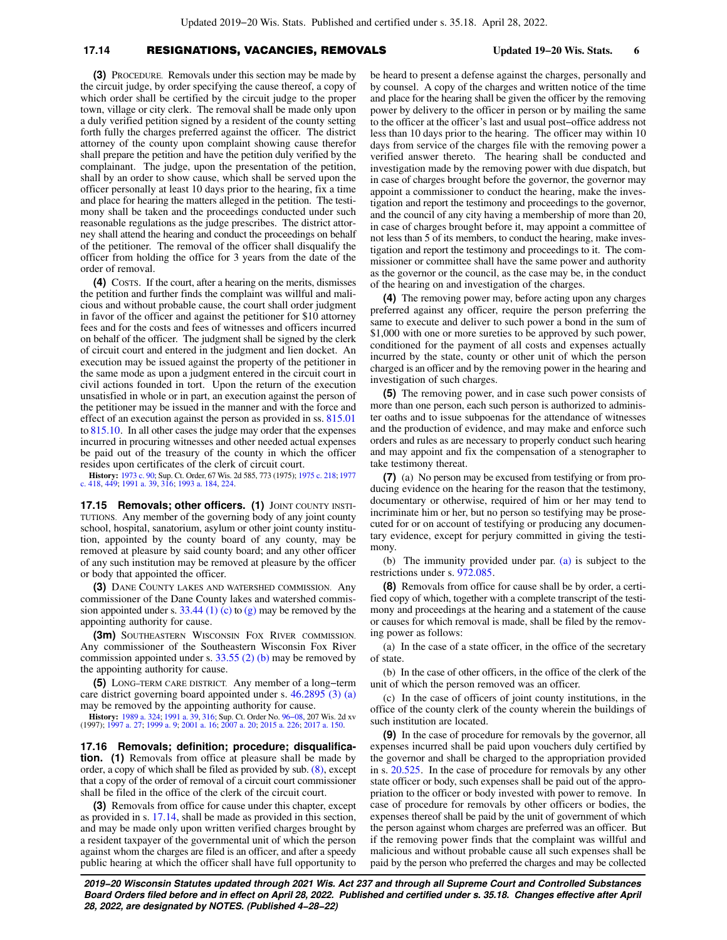### **17.14** RESIGNATIONS, VACANCIES, REMOVALS **Updated 19−20 Wis. Stats. 6**

**(3)** PROCEDURE. Removals under this section may be made by the circuit judge, by order specifying the cause thereof, a copy of which order shall be certified by the circuit judge to the proper town, village or city clerk. The removal shall be made only upon a duly verified petition signed by a resident of the county setting forth fully the charges preferred against the officer. The district attorney of the county upon complaint showing cause therefor shall prepare the petition and have the petition duly verified by the complainant. The judge, upon the presentation of the petition, shall by an order to show cause, which shall be served upon the officer personally at least 10 days prior to the hearing, fix a time and place for hearing the matters alleged in the petition. The testimony shall be taken and the proceedings conducted under such reasonable regulations as the judge prescribes. The district attorney shall attend the hearing and conduct the proceedings on behalf of the petitioner. The removal of the officer shall disqualify the officer from holding the office for 3 years from the date of the order of removal.

**(4)** COSTS. If the court, after a hearing on the merits, dismisses the petition and further finds the complaint was willful and malicious and without probable cause, the court shall order judgment in favor of the officer and against the petitioner for \$10 attorney fees and for the costs and fees of witnesses and officers incurred on behalf of the officer. The judgment shall be signed by the clerk of circuit court and entered in the judgment and lien docket. An execution may be issued against the property of the petitioner in the same mode as upon a judgment entered in the circuit court in civil actions founded in tort. Upon the return of the execution unsatisfied in whole or in part, an execution against the person of the petitioner may be issued in the manner and with the force and effect of an execution against the person as provided in ss. [815.01](https://docs-preview.legis.wisconsin.gov/document/statutes/815.01) to [815.10](https://docs-preview.legis.wisconsin.gov/document/statutes/815.10). In all other cases the judge may order that the expenses incurred in procuring witnesses and other needed actual expenses be paid out of the treasury of the county in which the officer resides upon certificates of the clerk of circuit court.

**History:** [1973 c. 90;](https://docs-preview.legis.wisconsin.gov/document/acts/1973/90) Sup. Ct. Order, 67 Wis. 2d 585, 773 (1975); [1975 c. 218](https://docs-preview.legis.wisconsin.gov/document/acts/1975/218); [1977](https://docs-preview.legis.wisconsin.gov/document/acts/1977/418) [c. 418,](https://docs-preview.legis.wisconsin.gov/document/acts/1977/418) [449;](https://docs-preview.legis.wisconsin.gov/document/acts/1977/449) [1991 a. 39](https://docs-preview.legis.wisconsin.gov/document/acts/1991/39), [316](https://docs-preview.legis.wisconsin.gov/document/acts/1991/316); [1993 a. 184,](https://docs-preview.legis.wisconsin.gov/document/acts/1993/184) [224.](https://docs-preview.legis.wisconsin.gov/document/acts/1993/224)

**17.15 Removals; other officers. (1)** JOINT COUNTY INSTI-TUTIONS. Any member of the governing body of any joint county school, hospital, sanatorium, asylum or other joint county institution, appointed by the county board of any county, may be removed at pleasure by said county board; and any other officer of any such institution may be removed at pleasure by the officer or body that appointed the officer.

**(3)** DANE COUNTY LAKES AND WATERSHED COMMISSION. Any commissioner of the Dane County lakes and watershed commis-sion appointed under s. [33.44 \(1\) \(c\)](https://docs-preview.legis.wisconsin.gov/document/statutes/33.44(1)(c)) to  $(g)$  may be removed by the appointing authority for cause.

**(3m)** SOUTHEASTERN WISCONSIN FOX RIVER COMMISSION. Any commissioner of the Southeastern Wisconsin Fox River commission appointed under s.  $33.55$  (2) (b) may be removed by the appointing authority for cause.

**(5)** LONG−TERM CARE DISTRICT. Any member of a long−term care district governing board appointed under s. [46.2895 \(3\) \(a\)](https://docs-preview.legis.wisconsin.gov/document/statutes/46.2895(3)(a)) may be removed by the appointing authority for cause.

**History:** [1989 a. 324;](https://docs-preview.legis.wisconsin.gov/document/acts/1989/324) [1991 a. 39](https://docs-preview.legis.wisconsin.gov/document/acts/1991/39), [316;](https://docs-preview.legis.wisconsin.gov/document/acts/1991/316) Sup. Ct. Order No. [96−08](https://docs-preview.legis.wisconsin.gov/document/sco/96-08), 207 Wis. 2d xv (1997); [1997 a. 27;](https://docs-preview.legis.wisconsin.gov/document/acts/1997/27) [1999 a. 9](https://docs-preview.legis.wisconsin.gov/document/acts/1999/9); [2001 a. 16](https://docs-preview.legis.wisconsin.gov/document/acts/2001/16); [2007 a. 20;](https://docs-preview.legis.wisconsin.gov/document/acts/2007/20) [2015 a. 226](https://docs-preview.legis.wisconsin.gov/document/acts/2015/226); [2017 a. 150.](https://docs-preview.legis.wisconsin.gov/document/acts/2017/150)

**17.16 Removals; definition; procedure; disqualification. (1)** Removals from office at pleasure shall be made by order, a copy of which shall be filed as provided by sub. [\(8\),](https://docs-preview.legis.wisconsin.gov/document/statutes/17.16(8)) except that a copy of the order of removal of a circuit court commissioner shall be filed in the office of the clerk of the circuit court.

**(3)** Removals from office for cause under this chapter, except as provided in s. [17.14,](https://docs-preview.legis.wisconsin.gov/document/statutes/17.14) shall be made as provided in this section, and may be made only upon written verified charges brought by a resident taxpayer of the governmental unit of which the person against whom the charges are filed is an officer, and after a speedy public hearing at which the officer shall have full opportunity to

be heard to present a defense against the charges, personally and by counsel. A copy of the charges and written notice of the time and place for the hearing shall be given the officer by the removing power by delivery to the officer in person or by mailing the same to the officer at the officer's last and usual post−office address not less than 10 days prior to the hearing. The officer may within 10 days from service of the charges file with the removing power a verified answer thereto. The hearing shall be conducted and investigation made by the removing power with due dispatch, but in case of charges brought before the governor, the governor may appoint a commissioner to conduct the hearing, make the investigation and report the testimony and proceedings to the governor, and the council of any city having a membership of more than 20, in case of charges brought before it, may appoint a committee of not less than 5 of its members, to conduct the hearing, make investigation and report the testimony and proceedings to it. The commissioner or committee shall have the same power and authority as the governor or the council, as the case may be, in the conduct of the hearing on and investigation of the charges.

**(4)** The removing power may, before acting upon any charges preferred against any officer, require the person preferring the same to execute and deliver to such power a bond in the sum of \$1,000 with one or more sureties to be approved by such power, conditioned for the payment of all costs and expenses actually incurred by the state, county or other unit of which the person charged is an officer and by the removing power in the hearing and investigation of such charges.

**(5)** The removing power, and in case such power consists of more than one person, each such person is authorized to administer oaths and to issue subpoenas for the attendance of witnesses and the production of evidence, and may make and enforce such orders and rules as are necessary to properly conduct such hearing and may appoint and fix the compensation of a stenographer to take testimony thereat.

**(7)** (a) No person may be excused from testifying or from producing evidence on the hearing for the reason that the testimony, documentary or otherwise, required of him or her may tend to incriminate him or her, but no person so testifying may be prosecuted for or on account of testifying or producing any documentary evidence, except for perjury committed in giving the testimony.

(b) The immunity provided under par. [\(a\)](https://docs-preview.legis.wisconsin.gov/document/statutes/17.16(7)(a)) is subject to the restrictions under s. [972.085.](https://docs-preview.legis.wisconsin.gov/document/statutes/972.085)

**(8)** Removals from office for cause shall be by order, a certified copy of which, together with a complete transcript of the testimony and proceedings at the hearing and a statement of the cause or causes for which removal is made, shall be filed by the removing power as follows:

(a) In the case of a state officer, in the office of the secretary of state.

(b) In the case of other officers, in the office of the clerk of the unit of which the person removed was an officer.

(c) In the case of officers of joint county institutions, in the office of the county clerk of the county wherein the buildings of such institution are located.

**(9)** In the case of procedure for removals by the governor, all expenses incurred shall be paid upon vouchers duly certified by the governor and shall be charged to the appropriation provided in s. [20.525](https://docs-preview.legis.wisconsin.gov/document/statutes/20.525). In the case of procedure for removals by any other state officer or body, such expenses shall be paid out of the appropriation to the officer or body invested with power to remove. In case of procedure for removals by other officers or bodies, the expenses thereof shall be paid by the unit of government of which the person against whom charges are preferred was an officer. But if the removing power finds that the complaint was willful and malicious and without probable cause all such expenses shall be paid by the person who preferred the charges and may be collected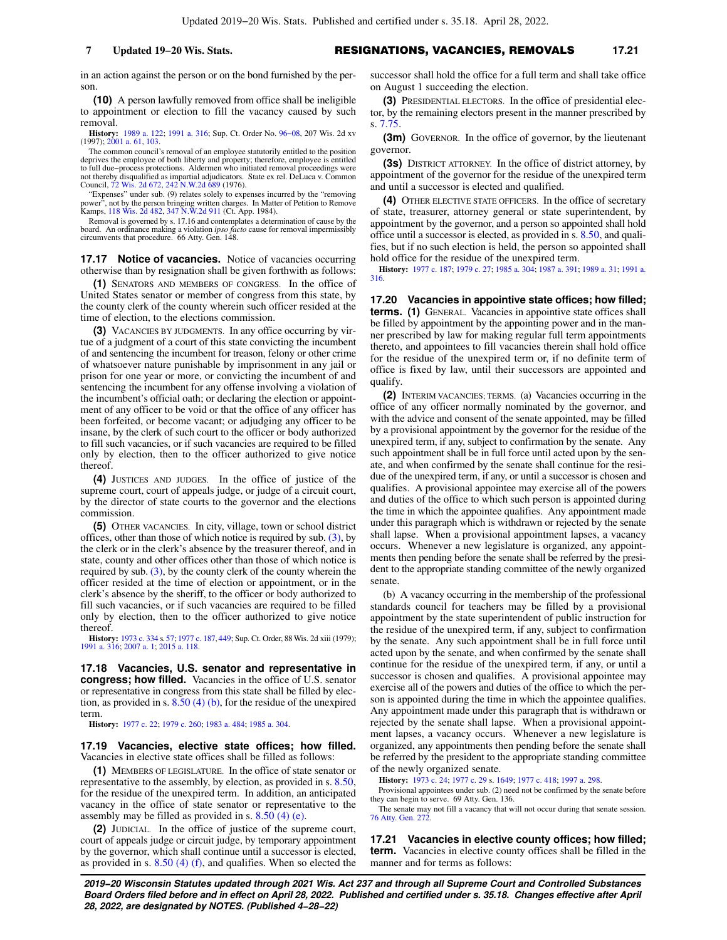in an action against the person or on the bond furnished by the person.

**(10)** A person lawfully removed from office shall be ineligible to appointment or election to fill the vacancy caused by such removal.

**History:** [1989 a. 122;](https://docs-preview.legis.wisconsin.gov/document/acts/1989/122) [1991 a. 316](https://docs-preview.legis.wisconsin.gov/document/acts/1991/316); Sup. Ct. Order No. [96−08,](https://docs-preview.legis.wisconsin.gov/document/sco/96-08) 207 Wis. 2d xv (1997); [2001 a. 61,](https://docs-preview.legis.wisconsin.gov/document/acts/2001/61) [103.](https://docs-preview.legis.wisconsin.gov/document/acts/2001/103)

The common council's removal of an employee statutorily entitled to the position deprives the employee of both liberty and property; therefore, employee is entitled<br>to full due–process protections. Aldermen who initiated removal proceedings were<br>not thereby disqualified as impartial adjudicators. State Council, [72 Wis. 2d 672](https://docs-preview.legis.wisconsin.gov/document/courts/72%20Wis.%202d%20672), [242 N.W.2d 689](https://docs-preview.legis.wisconsin.gov/document/courts/242%20N.W.2d%20689) (1976).

"Expenses" under sub. (9) relates solely to expenses incurred by the "removing power", not by the person bringing written charges. In Matter of Petition to Remove Kamps, [118 Wis. 2d 482,](https://docs-preview.legis.wisconsin.gov/document/courts/118%20Wis.%202d%20482) [347 N.W.2d 911](https://docs-preview.legis.wisconsin.gov/document/courts/347%20N.W.2d%20911) (Ct. App. 1984).

Removal is governed by s. 17.16 and contemplates a determination of cause by the board. An ordinance making a violation *ipso facto* cause for removal impermissibly circumvents that procedure. 66 Atty. Gen. 148.

**17.17 Notice of vacancies.** Notice of vacancies occurring otherwise than by resignation shall be given forthwith as follows:

**(1)** SENATORS AND MEMBERS OF CONGRESS. In the office of United States senator or member of congress from this state, by the county clerk of the county wherein such officer resided at the time of election, to the elections commission.

**(3)** VACANCIES BY JUDGMENTS. In any office occurring by virtue of a judgment of a court of this state convicting the incumbent of and sentencing the incumbent for treason, felony or other crime of whatsoever nature punishable by imprisonment in any jail or prison for one year or more, or convicting the incumbent of and sentencing the incumbent for any offense involving a violation of the incumbent's official oath; or declaring the election or appointment of any officer to be void or that the office of any officer has been forfeited, or become vacant; or adjudging any officer to be insane, by the clerk of such court to the officer or body authorized to fill such vacancies, or if such vacancies are required to be filled only by election, then to the officer authorized to give notice thereof.

**(4)** JUSTICES AND JUDGES. In the office of justice of the supreme court, court of appeals judge, or judge of a circuit court, by the director of state courts to the governor and the elections commission.

**(5)** OTHER VACANCIES. In city, village, town or school district offices, other than those of which notice is required by sub.  $(3)$ , by the clerk or in the clerk's absence by the treasurer thereof, and in state, county and other offices other than those of which notice is required by sub.  $(3)$ , by the county clerk of the county wherein the officer resided at the time of election or appointment, or in the clerk's absence by the sheriff, to the officer or body authorized to fill such vacancies, or if such vacancies are required to be filled only by election, then to the officer authorized to give notice thereof.

**History:** [1973 c. 334](https://docs-preview.legis.wisconsin.gov/document/acts/1973/334) s. [57;](https://docs-preview.legis.wisconsin.gov/document/acts/1973/334,%20s.%2057) [1977 c. 187](https://docs-preview.legis.wisconsin.gov/document/acts/1977/187), [449;](https://docs-preview.legis.wisconsin.gov/document/acts/1977/449) Sup. Ct. Order, 88 Wis. 2d xiii (1979); [1991 a. 316;](https://docs-preview.legis.wisconsin.gov/document/acts/1991/316) [2007 a. 1](https://docs-preview.legis.wisconsin.gov/document/acts/2007/1); [2015 a. 118.](https://docs-preview.legis.wisconsin.gov/document/acts/2015/118)

**17.18 Vacancies, U.S. senator and representative in congress; how filled.** Vacancies in the office of U.S. senator or representative in congress from this state shall be filled by election, as provided in s.  $8.50$  (4) (b), for the residue of the unexpired term.

**History:** [1977 c. 22;](https://docs-preview.legis.wisconsin.gov/document/acts/1977/22) [1979 c. 260;](https://docs-preview.legis.wisconsin.gov/document/acts/1979/260) [1983 a. 484](https://docs-preview.legis.wisconsin.gov/document/acts/1983/484); [1985 a. 304.](https://docs-preview.legis.wisconsin.gov/document/acts/1985/304)

**17.19 Vacancies, elective state offices; how filled.** Vacancies in elective state offices shall be filled as follows:

**(1)** MEMBERS OF LEGISLATURE. In the office of state senator or representative to the assembly, by election, as provided in s. [8.50,](https://docs-preview.legis.wisconsin.gov/document/statutes/8.50) for the residue of the unexpired term. In addition, an anticipated vacancy in the office of state senator or representative to the assembly may be filled as provided in s. [8.50 \(4\) \(e\)](https://docs-preview.legis.wisconsin.gov/document/statutes/8.50(4)(e)).

**(2)** JUDICIAL. In the office of justice of the supreme court, court of appeals judge or circuit judge, by temporary appointment by the governor, which shall continue until a successor is elected, as provided in s. [8.50 \(4\) \(f\)](https://docs-preview.legis.wisconsin.gov/document/statutes/8.50(4)(f)), and qualifies. When so elected the successor shall hold the office for a full term and shall take office on August 1 succeeding the election.

**(3)** PRESIDENTIAL ELECTORS. In the office of presidential elector, by the remaining electors present in the manner prescribed by s. [7.75.](https://docs-preview.legis.wisconsin.gov/document/statutes/7.75)

**(3m)** GOVERNOR. In the office of governor, by the lieutenant governor.

**(3s)** DISTRICT ATTORNEY. In the office of district attorney, by appointment of the governor for the residue of the unexpired term and until a successor is elected and qualified.

**(4)** OTHER ELECTIVE STATE OFFICERS. In the office of secretary of state, treasurer, attorney general or state superintendent, by appointment by the governor, and a person so appointed shall hold office until a successor is elected, as provided in s. [8.50,](https://docs-preview.legis.wisconsin.gov/document/statutes/8.50) and qualifies, but if no such election is held, the person so appointed shall hold office for the residue of the unexpired term.

**History:** [1977 c. 187;](https://docs-preview.legis.wisconsin.gov/document/acts/1977/187) [1979 c. 27;](https://docs-preview.legis.wisconsin.gov/document/acts/1979/27) [1985 a. 304](https://docs-preview.legis.wisconsin.gov/document/acts/1985/304); [1987 a. 391;](https://docs-preview.legis.wisconsin.gov/document/acts/1987/391) [1989 a. 31;](https://docs-preview.legis.wisconsin.gov/document/acts/1989/31) [1991 a.](https://docs-preview.legis.wisconsin.gov/document/acts/1991/316) [316.](https://docs-preview.legis.wisconsin.gov/document/acts/1991/316)

**17.20 Vacancies in appointive state offices; how filled; terms.** (1) GENERAL. Vacancies in appointive state offices shall be filled by appointment by the appointing power and in the manner prescribed by law for making regular full term appointments thereto, and appointees to fill vacancies therein shall hold office for the residue of the unexpired term or, if no definite term of office is fixed by law, until their successors are appointed and qualify.

**(2)** INTERIM VACANCIES; TERMS. (a) Vacancies occurring in the office of any officer normally nominated by the governor, and with the advice and consent of the senate appointed, may be filled by a provisional appointment by the governor for the residue of the unexpired term, if any, subject to confirmation by the senate. Any such appointment shall be in full force until acted upon by the senate, and when confirmed by the senate shall continue for the residue of the unexpired term, if any, or until a successor is chosen and qualifies. A provisional appointee may exercise all of the powers and duties of the office to which such person is appointed during the time in which the appointee qualifies. Any appointment made under this paragraph which is withdrawn or rejected by the senate shall lapse. When a provisional appointment lapses, a vacancy occurs. Whenever a new legislature is organized, any appointments then pending before the senate shall be referred by the president to the appropriate standing committee of the newly organized senate.

(b) A vacancy occurring in the membership of the professional standards council for teachers may be filled by a provisional appointment by the state superintendent of public instruction for the residue of the unexpired term, if any, subject to confirmation by the senate. Any such appointment shall be in full force until acted upon by the senate, and when confirmed by the senate shall continue for the residue of the unexpired term, if any, or until a successor is chosen and qualifies. A provisional appointee may exercise all of the powers and duties of the office to which the person is appointed during the time in which the appointee qualifies. Any appointment made under this paragraph that is withdrawn or rejected by the senate shall lapse. When a provisional appointment lapses, a vacancy occurs. Whenever a new legislature is organized, any appointments then pending before the senate shall be referred by the president to the appropriate standing committee of the newly organized senate.

**History:** [1973 c. 24](https://docs-preview.legis.wisconsin.gov/document/acts/1973/24); [1977 c. 29](https://docs-preview.legis.wisconsin.gov/document/acts/1977/29) s. [1649](https://docs-preview.legis.wisconsin.gov/document/acts/1977/29,%20s.%201649); [1977 c. 418;](https://docs-preview.legis.wisconsin.gov/document/acts/1977/418) [1997 a. 298.](https://docs-preview.legis.wisconsin.gov/document/acts/1997/298)

Provisional appointees under sub. (2) need not be confirmed by the senate before they can begin to serve. 69 Atty. Gen. 136.

The senate may not fill a vacancy that will not occur during that senate session. [76 Atty. Gen. 272.](https://docs-preview.legis.wisconsin.gov/document/oag/vol76-272)

**17.21 Vacancies in elective county offices; how filled; term.** Vacancies in elective county offices shall be filled in the manner and for terms as follows: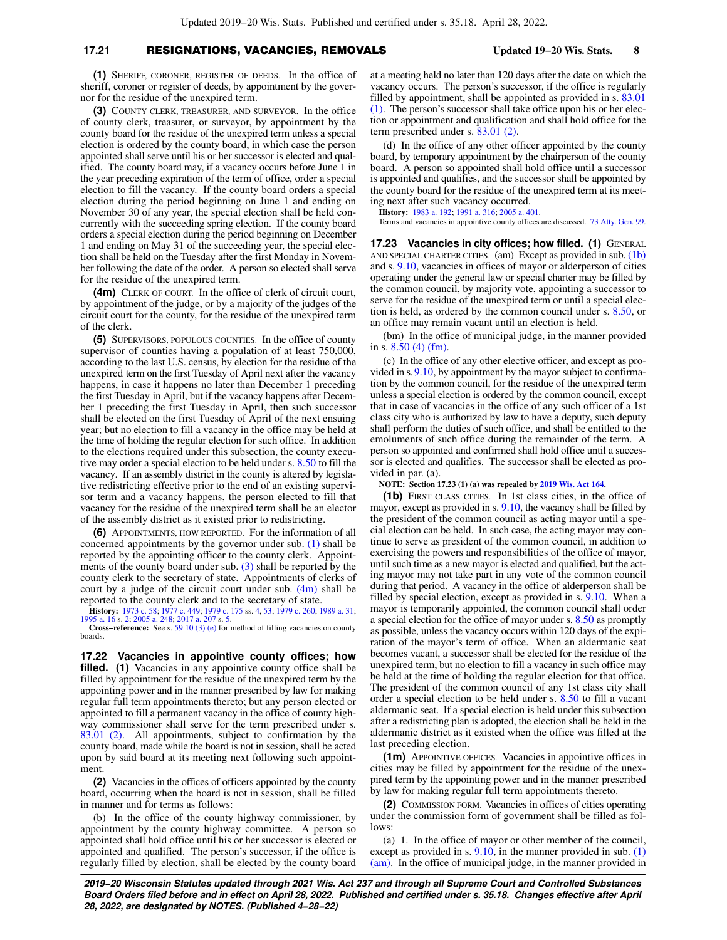## **17.21** RESIGNATIONS, VACANCIES, REMOVALS **Updated 19−20 Wis. Stats. 8**

**(1)** SHERIFF, CORONER, REGISTER OF DEEDS. In the office of sheriff, coroner or register of deeds, by appointment by the governor for the residue of the unexpired term.

**(3)** COUNTY CLERK, TREASURER, AND SURVEYOR. In the office of county clerk, treasurer, or surveyor, by appointment by the county board for the residue of the unexpired term unless a special election is ordered by the county board, in which case the person appointed shall serve until his or her successor is elected and qualified. The county board may, if a vacancy occurs before June 1 in the year preceding expiration of the term of office, order a special election to fill the vacancy. If the county board orders a special election during the period beginning on June 1 and ending on November 30 of any year, the special election shall be held concurrently with the succeeding spring election. If the county board orders a special election during the period beginning on December 1 and ending on May 31 of the succeeding year, the special election shall be held on the Tuesday after the first Monday in November following the date of the order. A person so elected shall serve for the residue of the unexpired term.

**(4m)** CLERK OF COURT. In the office of clerk of circuit court, by appointment of the judge, or by a majority of the judges of the circuit court for the county, for the residue of the unexpired term of the clerk.

**(5)** SUPERVISORS, POPULOUS COUNTIES. In the office of county supervisor of counties having a population of at least 750,000, according to the last U.S. census, by election for the residue of the unexpired term on the first Tuesday of April next after the vacancy happens, in case it happens no later than December 1 preceding the first Tuesday in April, but if the vacancy happens after December 1 preceding the first Tuesday in April, then such successor shall be elected on the first Tuesday of April of the next ensuing year; but no election to fill a vacancy in the office may be held at the time of holding the regular election for such office. In addition to the elections required under this subsection, the county executive may order a special election to be held under s. [8.50](https://docs-preview.legis.wisconsin.gov/document/statutes/8.50) to fill the vacancy. If an assembly district in the county is altered by legislative redistricting effective prior to the end of an existing supervisor term and a vacancy happens, the person elected to fill that vacancy for the residue of the unexpired term shall be an elector of the assembly district as it existed prior to redistricting.

**(6)** APPOINTMENTS, HOW REPORTED. For the information of all concerned appointments by the governor under sub. [\(1\)](https://docs-preview.legis.wisconsin.gov/document/statutes/17.21(1)) shall be reported by the appointing officer to the county clerk. Appointments of the county board under sub. [\(3\)](https://docs-preview.legis.wisconsin.gov/document/statutes/17.21(3)) shall be reported by the county clerk to the secretary of state. Appointments of clerks of court by a judge of the circuit court under sub. [\(4m\)](https://docs-preview.legis.wisconsin.gov/document/statutes/17.21(4m)) shall be reported to the county clerk and to the secretary of state.

**History:** [1973 c. 58](https://docs-preview.legis.wisconsin.gov/document/acts/1973/58); [1977 c. 449](https://docs-preview.legis.wisconsin.gov/document/acts/1977/449); [1979 c. 175](https://docs-preview.legis.wisconsin.gov/document/acts/1979/175) ss. [4,](https://docs-preview.legis.wisconsin.gov/document/acts/1979/175,%20s.%204) [53](https://docs-preview.legis.wisconsin.gov/document/acts/1979/175,%20s.%2053); [1979 c. 260](https://docs-preview.legis.wisconsin.gov/document/acts/1979/260); [1989 a. 31](https://docs-preview.legis.wisconsin.gov/document/acts/1989/31); [1995 a. 16](https://docs-preview.legis.wisconsin.gov/document/acts/1995/16) s. [2;](https://docs-preview.legis.wisconsin.gov/document/acts/1995/16,%20s.%202) [2005 a. 248](https://docs-preview.legis.wisconsin.gov/document/acts/2005/248); [2017 a. 207](https://docs-preview.legis.wisconsin.gov/document/acts/2017/207) s. [5.](https://docs-preview.legis.wisconsin.gov/document/acts/2017/207,%20s.%205) **Cross−reference:** See s. [59.10 \(3\) \(e\)](https://docs-preview.legis.wisconsin.gov/document/statutes/59.10(3)(e)) for method of filling vacancies on county

boards.

**17.22 Vacancies in appointive county offices; how** filled. (1) Vacancies in any appointive county office shall be filled by appointment for the residue of the unexpired term by the appointing power and in the manner prescribed by law for making regular full term appointments thereto; but any person elected or appointed to fill a permanent vacancy in the office of county highway commissioner shall serve for the term prescribed under s. [83.01 \(2\).](https://docs-preview.legis.wisconsin.gov/document/statutes/83.01(2)) All appointments, subject to confirmation by the county board, made while the board is not in session, shall be acted upon by said board at its meeting next following such appointment

**(2)** Vacancies in the offices of officers appointed by the county board, occurring when the board is not in session, shall be filled in manner and for terms as follows:

(b) In the office of the county highway commissioner, by appointment by the county highway committee. A person so appointed shall hold office until his or her successor is elected or appointed and qualified. The person's successor, if the office is regularly filled by election, shall be elected by the county board at a meeting held no later than 120 days after the date on which the vacancy occurs. The person's successor, if the office is regularly filled by appointment, shall be appointed as provided in s. [83.01](https://docs-preview.legis.wisconsin.gov/document/statutes/83.01(1)) [\(1\).](https://docs-preview.legis.wisconsin.gov/document/statutes/83.01(1)) The person's successor shall take office upon his or her election or appointment and qualification and shall hold office for the term prescribed under s. [83.01 \(2\).](https://docs-preview.legis.wisconsin.gov/document/statutes/83.01(2))

(d) In the office of any other officer appointed by the county board, by temporary appointment by the chairperson of the county board. A person so appointed shall hold office until a successor is appointed and qualifies, and the successor shall be appointed by the county board for the residue of the unexpired term at its meeting next after such vacancy occurred.

**History:** [1983 a. 192;](https://docs-preview.legis.wisconsin.gov/document/acts/1983/192) [1991 a. 316](https://docs-preview.legis.wisconsin.gov/document/acts/1991/316); [2005 a. 401.](https://docs-preview.legis.wisconsin.gov/document/acts/2005/401)

Terms and vacancies in appointive county offices are discussed. [73 Atty. Gen. 99](https://docs-preview.legis.wisconsin.gov/document/oag/vol73-99).

**17.23 Vacancies in city offices; how filled. (1)** GENERAL AND SPECIAL CHARTER CITIES. (am) Except as provided in sub. [\(1b\)](https://docs-preview.legis.wisconsin.gov/document/statutes/17.23(1b)) and s. [9.10,](https://docs-preview.legis.wisconsin.gov/document/statutes/9.10) vacancies in offices of mayor or alderperson of cities operating under the general law or special charter may be filled by the common council, by majority vote, appointing a successor to serve for the residue of the unexpired term or until a special election is held, as ordered by the common council under s. [8.50](https://docs-preview.legis.wisconsin.gov/document/statutes/8.50), or an office may remain vacant until an election is held.

(bm) In the office of municipal judge, in the manner provided in s. [8.50 \(4\) \(fm\)](https://docs-preview.legis.wisconsin.gov/document/statutes/8.50(4)(fm)).

(c) In the office of any other elective officer, and except as provided in s.[9.10,](https://docs-preview.legis.wisconsin.gov/document/statutes/9.10) by appointment by the mayor subject to confirmation by the common council, for the residue of the unexpired term unless a special election is ordered by the common council, except that in case of vacancies in the office of any such officer of a 1st class city who is authorized by law to have a deputy, such deputy shall perform the duties of such office, and shall be entitled to the emoluments of such office during the remainder of the term. A person so appointed and confirmed shall hold office until a successor is elected and qualifies. The successor shall be elected as provided in par. (a).

**NOTE: Section 17.23 (1) (a) was repealed by [2019 Wis. Act 164.](https://docs-preview.legis.wisconsin.gov/document/acts/2019/164)**

**(1b)** FIRST CLASS CITIES. In 1st class cities, in the office of mayor, except as provided in s. [9.10](https://docs-preview.legis.wisconsin.gov/document/statutes/9.10), the vacancy shall be filled by the president of the common council as acting mayor until a special election can be held. In such case, the acting mayor may continue to serve as president of the common council, in addition to exercising the powers and responsibilities of the office of mayor, until such time as a new mayor is elected and qualified, but the acting mayor may not take part in any vote of the common council during that period. A vacancy in the office of alderperson shall be filled by special election, except as provided in s. [9.10](https://docs-preview.legis.wisconsin.gov/document/statutes/9.10). When a mayor is temporarily appointed, the common council shall order a special election for the office of mayor under s. [8.50](https://docs-preview.legis.wisconsin.gov/document/statutes/8.50) as promptly as possible, unless the vacancy occurs within 120 days of the expiration of the mayor's term of office. When an aldermanic seat becomes vacant, a successor shall be elected for the residue of the unexpired term, but no election to fill a vacancy in such office may be held at the time of holding the regular election for that office. The president of the common council of any 1st class city shall order a special election to be held under s. [8.50](https://docs-preview.legis.wisconsin.gov/document/statutes/8.50) to fill a vacant aldermanic seat. If a special election is held under this subsection after a redistricting plan is adopted, the election shall be held in the aldermanic district as it existed when the office was filled at the last preceding election.

**(1m)** APPOINTIVE OFFICES. Vacancies in appointive offices in cities may be filled by appointment for the residue of the unexpired term by the appointing power and in the manner prescribed by law for making regular full term appointments thereto.

**(2)** COMMISSION FORM. Vacancies in offices of cities operating under the commission form of government shall be filled as follows:

(a) 1. In the office of mayor or other member of the council, except as provided in s. [9.10,](https://docs-preview.legis.wisconsin.gov/document/statutes/9.10) in the manner provided in sub. [\(1\)](https://docs-preview.legis.wisconsin.gov/document/statutes/17.23(1)(am)) [\(am\)](https://docs-preview.legis.wisconsin.gov/document/statutes/17.23(1)(am)). In the office of municipal judge, in the manner provided in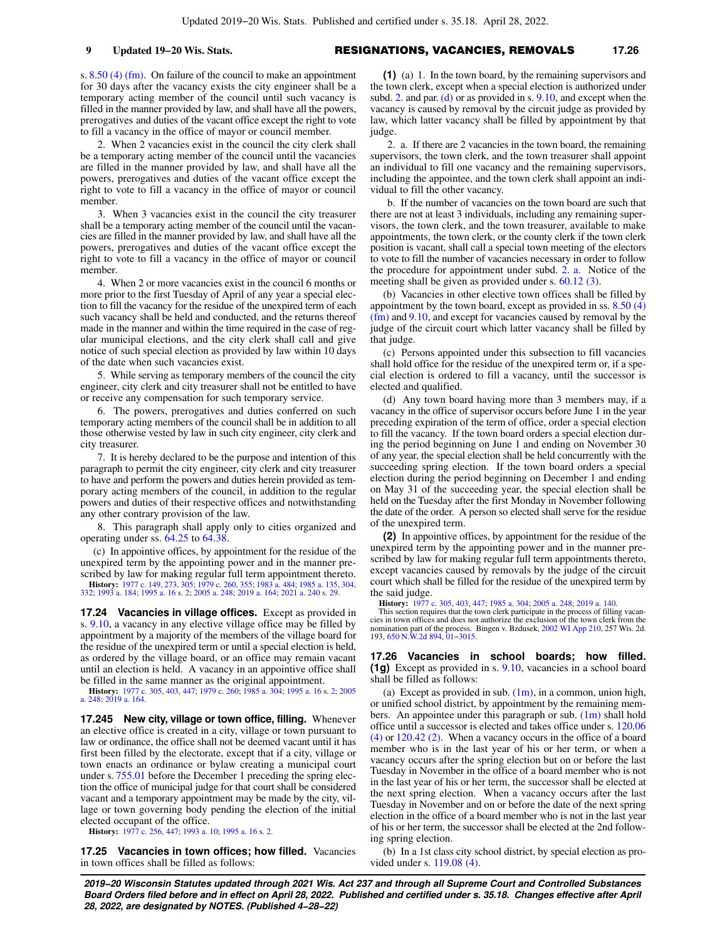s. [8.50 \(4\) \(fm\).](https://docs-preview.legis.wisconsin.gov/document/statutes/8.50(4)(fm)) On failure of the council to make an appointment for 30 days after the vacancy exists the city engineer shall be a temporary acting member of the council until such vacancy is filled in the manner provided by law, and shall have all the powers, prerogatives and duties of the vacant office except the right to vote to fill a vacancy in the office of mayor or council member.

2. When 2 vacancies exist in the council the city clerk shall be a temporary acting member of the council until the vacancies are filled in the manner provided by law, and shall have all the powers, prerogatives and duties of the vacant office except the right to vote to fill a vacancy in the office of mayor or council member.

3. When 3 vacancies exist in the council the city treasurer shall be a temporary acting member of the council until the vacancies are filled in the manner provided by law, and shall have all the powers, prerogatives and duties of the vacant office except the right to vote to fill a vacancy in the office of mayor or council member.

4. When 2 or more vacancies exist in the council 6 months or more prior to the first Tuesday of April of any year a special election to fill the vacancy for the residue of the unexpired term of each such vacancy shall be held and conducted, and the returns thereof made in the manner and within the time required in the case of regular municipal elections, and the city clerk shall call and give notice of such special election as provided by law within 10 days of the date when such vacancies exist.

5. While serving as temporary members of the council the city engineer, city clerk and city treasurer shall not be entitled to have or receive any compensation for such temporary service.

6. The powers, prerogatives and duties conferred on such temporary acting members of the council shall be in addition to all those otherwise vested by law in such city engineer, city clerk and city treasurer.

7. It is hereby declared to be the purpose and intention of this paragraph to permit the city engineer, city clerk and city treasurer to have and perform the powers and duties herein provided as temporary acting members of the council, in addition to the regular powers and duties of their respective offices and notwithstanding any other contrary provision of the law.

8. This paragraph shall apply only to cities organized and operating under ss. [64.25](https://docs-preview.legis.wisconsin.gov/document/statutes/64.25) to [64.38](https://docs-preview.legis.wisconsin.gov/document/statutes/64.38).

(c) In appointive offices, by appointment for the residue of the unexpired term by the appointing power and in the manner prescribed by law for making regular full term appointment thereto.

**History:** [1977 c. 149](https://docs-preview.legis.wisconsin.gov/document/acts/1977/149), [273](https://docs-preview.legis.wisconsin.gov/document/acts/1977/273), [305;](https://docs-preview.legis.wisconsin.gov/document/acts/1977/305) [1979 c. 260,](https://docs-preview.legis.wisconsin.gov/document/acts/1979/260) [355;](https://docs-preview.legis.wisconsin.gov/document/acts/1979/355) [1983 a. 484;](https://docs-preview.legis.wisconsin.gov/document/acts/1983/484) [1985 a. 135](https://docs-preview.legis.wisconsin.gov/document/acts/1985/135), [304](https://docs-preview.legis.wisconsin.gov/document/acts/1985/304), [332](https://docs-preview.legis.wisconsin.gov/document/acts/1985/332); [1993 a. 184;](https://docs-preview.legis.wisconsin.gov/document/acts/1993/184) [1995 a. 16](https://docs-preview.legis.wisconsin.gov/document/acts/1995/16) s. [2;](https://docs-preview.legis.wisconsin.gov/document/acts/1995/16,%20s.%202) [2005 a. 248](https://docs-preview.legis.wisconsin.gov/document/acts/2005/248); [2019 a. 164](https://docs-preview.legis.wisconsin.gov/document/acts/2019/164); [2021 a. 240](https://docs-preview.legis.wisconsin.gov/document/acts/2021/240) s. [29.](https://docs-preview.legis.wisconsin.gov/document/acts/2021/240,%20s.%2029)

**17.24 Vacancies in village offices.** Except as provided in s. [9.10,](https://docs-preview.legis.wisconsin.gov/document/statutes/9.10) a vacancy in any elective village office may be filled by appointment by a majority of the members of the village board for the residue of the unexpired term or until a special election is held, as ordered by the village board, or an office may remain vacant until an election is held. A vacancy in an appointive office shall be filled in the same manner as the original appointment.

**History:** [1977 c. 305](https://docs-preview.legis.wisconsin.gov/document/acts/1977/305), [403](https://docs-preview.legis.wisconsin.gov/document/acts/1977/403), [447](https://docs-preview.legis.wisconsin.gov/document/acts/1977/447); [1979 c. 260](https://docs-preview.legis.wisconsin.gov/document/acts/1979/260); [1985 a. 304;](https://docs-preview.legis.wisconsin.gov/document/acts/1985/304) [1995 a. 16](https://docs-preview.legis.wisconsin.gov/document/acts/1995/16) s. [2](https://docs-preview.legis.wisconsin.gov/document/acts/1995/16,%20s.%202); [2005](https://docs-preview.legis.wisconsin.gov/document/acts/2005/248) [a. 248;](https://docs-preview.legis.wisconsin.gov/document/acts/2005/248) [2019 a. 164.](https://docs-preview.legis.wisconsin.gov/document/acts/2019/164)

**17.245 New city, village or town office, filling.** Whenever an elective office is created in a city, village or town pursuant to law or ordinance, the office shall not be deemed vacant until it has first been filled by the electorate, except that if a city, village or town enacts an ordinance or bylaw creating a municipal court under s. [755.01](https://docs-preview.legis.wisconsin.gov/document/statutes/755.01) before the December 1 preceding the spring election the office of municipal judge for that court shall be considered vacant and a temporary appointment may be made by the city, village or town governing body pending the election of the initial elected occupant of the office.

**History:** [1977 c. 256](https://docs-preview.legis.wisconsin.gov/document/acts/1977/256), [447](https://docs-preview.legis.wisconsin.gov/document/acts/1977/447); [1993 a. 10;](https://docs-preview.legis.wisconsin.gov/document/acts/1993/10) [1995 a. 16](https://docs-preview.legis.wisconsin.gov/document/acts/1995/16) s. [2](https://docs-preview.legis.wisconsin.gov/document/acts/1995/16,%20s.%202).

**17.25 Vacancies in town offices; how filled.** Vacancies in town offices shall be filled as follows:

**(1)** (a)1. In the town board, by the remaining supervisors and the town clerk, except when a special election is authorized under subd. [2.](https://docs-preview.legis.wisconsin.gov/document/statutes/17.25(1)(a)2.) and par. [\(d\)](https://docs-preview.legis.wisconsin.gov/document/statutes/17.25(1)(d)) or as provided in s. [9.10,](https://docs-preview.legis.wisconsin.gov/document/statutes/9.10) and except when the vacancy is caused by removal by the circuit judge as provided by law, which latter vacancy shall be filled by appointment by that judge.

2. a. If there are 2 vacancies in the town board, the remaining supervisors, the town clerk, and the town treasurer shall appoint an individual to fill one vacancy and the remaining supervisors, including the appointee, and the town clerk shall appoint an individual to fill the other vacancy.

b. If the number of vacancies on the town board are such that there are not at least 3 individuals, including any remaining supervisors, the town clerk, and the town treasurer, available to make appointments, the town clerk, or the county clerk if the town clerk position is vacant, shall call a special town meeting of the electors to vote to fill the number of vacancies necessary in order to follow the procedure for appointment under subd. [2. a.](https://docs-preview.legis.wisconsin.gov/document/statutes/17.25(1)(a)2.a.) Notice of the meeting shall be given as provided under s. [60.12 \(3\)](https://docs-preview.legis.wisconsin.gov/document/statutes/60.12(3)).

(b) Vacancies in other elective town offices shall be filled by appointment by the town board, except as provided in ss. [8.50 \(4\)](https://docs-preview.legis.wisconsin.gov/document/statutes/8.50(4)(fm)) [\(fm\)](https://docs-preview.legis.wisconsin.gov/document/statutes/8.50(4)(fm)) and [9.10](https://docs-preview.legis.wisconsin.gov/document/statutes/9.10), and except for vacancies caused by removal by the judge of the circuit court which latter vacancy shall be filled by that judge.

(c) Persons appointed under this subsection to fill vacancies shall hold office for the residue of the unexpired term or, if a special election is ordered to fill a vacancy, until the successor is elected and qualified.

(d) Any town board having more than 3 members may, if a vacancy in the office of supervisor occurs before June 1 in the year preceding expiration of the term of office, order a special election to fill the vacancy. If the town board orders a special election during the period beginning on June 1 and ending on November 30 of any year, the special election shall be held concurrently with the succeeding spring election. If the town board orders a special election during the period beginning on December 1 and ending on May 31 of the succeeding year, the special election shall be held on the Tuesday after the first Monday in November following the date of the order. A person so elected shall serve for the residue of the unexpired term.

**(2)** In appointive offices, by appointment for the residue of the unexpired term by the appointing power and in the manner prescribed by law for making regular full term appointments thereto, except vacancies caused by removals by the judge of the circuit court which shall be filled for the residue of the unexpired term by the said judge.

**History:** [1977 c. 305,](https://docs-preview.legis.wisconsin.gov/document/acts/1977/305) [403,](https://docs-preview.legis.wisconsin.gov/document/acts/1977/403) [447;](https://docs-preview.legis.wisconsin.gov/document/acts/1977/447) [1985 a. 304](https://docs-preview.legis.wisconsin.gov/document/acts/1985/304); [2005 a. 248](https://docs-preview.legis.wisconsin.gov/document/acts/2005/248); [2019 a. 140.](https://docs-preview.legis.wisconsin.gov/document/acts/2019/140) This section requires that the town clerk participate in the process of filling vacancies in town offices and does not authorize the exclusion of the town clerk from the nomination part of the process. Bingen v. Bzdusek, [2002 WI App 210](https://docs-preview.legis.wisconsin.gov/document/courts/2002%20WI%20App%20210), 257 Wis. 2d. 193, [650 N.W.2d 894](https://docs-preview.legis.wisconsin.gov/document/courts/650%20N.W.2d%20894), [01−3015](https://docs-preview.legis.wisconsin.gov/document/wicourtofappeals/01-3015).

**17.26 Vacancies in school boards; how filled. (1g)** Except as provided in s. [9.10](https://docs-preview.legis.wisconsin.gov/document/statutes/9.10), vacancies in a school board shall be filled as follows:

(a) Except as provided in sub.  $(1m)$ , in a common, union high, or unified school district, by appointment by the remaining members. An appointee under this paragraph or sub.  $(1m)$  shall hold office until a successor is elected and takes office under s. [120.06](https://docs-preview.legis.wisconsin.gov/document/statutes/120.06(4)) [\(4\)](https://docs-preview.legis.wisconsin.gov/document/statutes/120.06(4)) or [120.42 \(2\)](https://docs-preview.legis.wisconsin.gov/document/statutes/120.42(2)). When a vacancy occurs in the office of a board member who is in the last year of his or her term, or when a vacancy occurs after the spring election but on or before the last Tuesday in November in the office of a board member who is not in the last year of his or her term, the successor shall be elected at the next spring election. When a vacancy occurs after the last Tuesday in November and on or before the date of the next spring election in the office of a board member who is not in the last year of his or her term, the successor shall be elected at the 2nd following spring election.

(b) In a 1st class city school district, by special election as provided under s. [119.08 \(4\).](https://docs-preview.legis.wisconsin.gov/document/statutes/119.08(4))